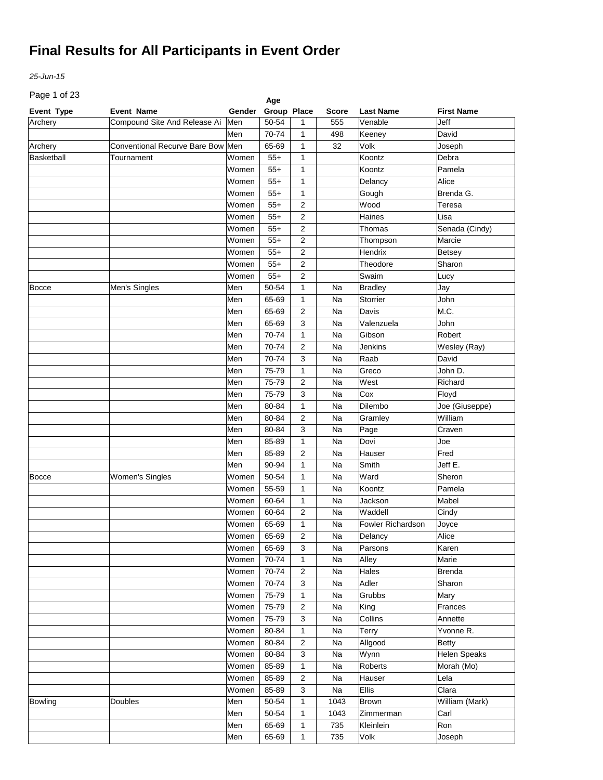*25-Jun-15*

Page 1 of 23

| Page 1 or 23 |                                      |             | Age         |                         |              |                          |                     |
|--------------|--------------------------------------|-------------|-------------|-------------------------|--------------|--------------------------|---------------------|
| Event Type   | <b>Event Name</b>                    | Gender      | Group Place |                         | <b>Score</b> | <b>Last Name</b>         | <b>First Name</b>   |
| Archery      | Compound Site And Release Ai         | Men         | 50-54       | 1                       | 555          | Venable                  | Jeff                |
|              |                                      | Men         | 70-74       | 1                       | 498          | Keeney                   | David               |
| Archery      | <b>Conventional Recurve Bare Bow</b> | Men         | 65-69       | 1                       | 32           | Volk                     | Joseph              |
| Basketball   | Tournament                           | Women       | $55+$       | 1                       |              | Koontz                   | Debra               |
|              |                                      | Women       | $55+$       | 1                       |              | Koontz                   | Pamela              |
|              |                                      | Women       | $55+$       | 1                       |              | Delancy                  | Alice               |
|              |                                      | Women       | $55+$       | 1                       |              | Gough                    | Brenda G.           |
|              |                                      | Women       | $55+$       | $\overline{2}$          |              | Wood                     | Teresa              |
|              |                                      | Women       | $55+$       | $\overline{2}$          |              | Haines                   | Lisa                |
|              |                                      | Women       | $55+$       | $\overline{2}$          |              | Thomas                   | Senada (Cindy)      |
|              |                                      | Women       | $55+$       | $\overline{2}$          |              | Thompson                 | Marcie              |
|              |                                      | Women       | $55+$       | $\overline{2}$          |              | Hendrix                  | <b>Betsey</b>       |
|              |                                      | Women       | $55+$       | $\overline{2}$          |              | Theodore                 | Sharon              |
|              |                                      | Women       | $55+$       | $\overline{2}$          |              | Swaim                    | Lucy                |
| <b>Bocce</b> | Men's Singles                        | Men         | 50-54       | 1                       | Na           | <b>Bradley</b>           | Jay                 |
|              |                                      | Men         | 65-69       | 1                       | Na           | Storrier                 | John                |
|              |                                      | Men         | 65-69       | $\overline{2}$          | Na           | Davis                    | M.C.                |
|              |                                      | Men         | 65-69       | 3                       | Na           | Valenzuela               | John                |
|              |                                      | Men         | 70-74       | 1                       | Na           | Gibson                   | Robert              |
|              |                                      | Men         | 70-74       | $\overline{2}$          | Na           | Jenkins                  | Wesley (Ray)        |
|              |                                      | Men         | 70-74       | 3                       | Na           | Raab                     | David               |
|              |                                      |             |             |                         |              |                          |                     |
|              |                                      | Men         | 75-79       | $\mathbf{1}$            | Na           | Greco                    | John D.             |
|              |                                      | Men         | 75-79       | $\overline{2}$          | Na           | West                     | Richard             |
|              |                                      | Men         | 75-79       | 3                       | Na           | Cox                      | Floyd               |
|              |                                      | Men         | 80-84       | $\mathbf{1}$            | Na           | Dilembo                  | Joe (Giuseppe)      |
|              |                                      | Men         | 80-84       | $\overline{2}$          | Na           | Gramley                  | William             |
|              |                                      | Men         | 80-84       | 3                       | Na           | Page                     | Craven              |
|              |                                      | Men         | 85-89       | 1                       | Na           | Dovi                     | Joe                 |
|              |                                      | Men         | 85-89       | $\overline{2}$          | Na           | Hauser                   | Fred                |
|              |                                      | Men         | 90-94       | 1                       | Na           | Smith                    | Jeff E.             |
| Bocce        | <b>Women's Singles</b>               | Women       | 50-54       | 1                       | Na           | Ward                     | Sheron              |
|              |                                      | Women       | 55-59       | 1                       | Na           | Koontz                   | Pamela              |
|              |                                      | Women       | 60-64       | $\mathbf{1}$            | Na           | Jackson                  | Mabel               |
|              |                                      | Women       | 60-64       | $\overline{2}$          | Na           | Waddell                  | Cindy               |
|              |                                      | Women       | 65-69       | $\mathbf{1}$            | Na           | <b>Fowler Richardson</b> | Joyce               |
|              |                                      | Women 65-69 |             | $\overline{\mathbf{c}}$ | Na           | Delancy                  | Alice               |
|              |                                      | Women       | 65-69       | 3                       | Na           | Parsons                  | Karen               |
|              |                                      | Women       | 70-74       | $\mathbf{1}$            | Na           | Alley                    | Marie               |
|              |                                      | Women       | 70-74       | $\overline{2}$          | Na           | Hales                    | <b>Brenda</b>       |
|              |                                      | Women       | 70-74       | 3                       | Na           | Adler                    | Sharon              |
|              |                                      | Women       | 75-79       | $\mathbf{1}$            | Na           | Grubbs                   | Mary                |
|              |                                      | Women       | 75-79       | $\overline{2}$          | Na           | King                     | Frances             |
|              |                                      | Women       | 75-79       | 3                       | Na           | Collins                  | Annette             |
|              |                                      | Women       | 80-84       | $\mathbf{1}$            | Na           | Terry                    | Yvonne R.           |
|              |                                      | Women       | 80-84       | $\overline{2}$          | Na           | Allgood                  | <b>Betty</b>        |
|              |                                      | Women       | 80-84       | 3                       | Na           | Wynn                     | <b>Helen Speaks</b> |
|              |                                      | Women       | 85-89       | $\mathbf{1}$            | Na           | Roberts                  | Morah (Mo)          |
|              |                                      | Women       | 85-89       | $\overline{\mathbf{c}}$ | Na           | Hauser                   | Lela                |
|              |                                      | Women       | 85-89       | 3                       | Na           | Ellis                    | Clara               |
| Bowling      | <b>Doubles</b>                       | Men         | 50-54       | $\mathbf{1}$            | 1043         | <b>Brown</b>             | William (Mark)      |
|              |                                      | Men         | 50-54       | $\mathbf{1}$            | 1043         | Zimmerman                | Carl                |
|              |                                      |             | 65-69       | $\mathbf{1}$            | 735          | Kleinlein                | Ron                 |
|              |                                      | Men         |             |                         |              |                          |                     |
|              |                                      | Men         | 65-69       | $\mathbf{1}$            | 735          | Volk                     | Joseph              |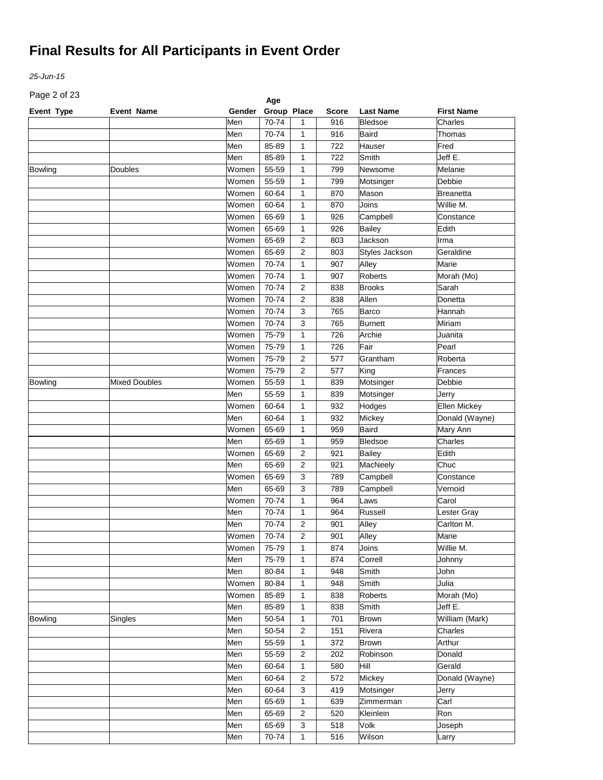*25-Jun-15*

Page 2 of 23

| Page 2 or 23<br>Age |                      |        |             |                |              |                  |                     |  |  |
|---------------------|----------------------|--------|-------------|----------------|--------------|------------------|---------------------|--|--|
| Event Type          | <b>Event Name</b>    | Gender | Group Place |                | <b>Score</b> | <b>Last Name</b> | <b>First Name</b>   |  |  |
|                     |                      | Men    | 70-74       | 1              | 916          | <b>Bledsoe</b>   | Charles             |  |  |
|                     |                      | Men    | 70-74       | 1              | 916          | <b>Baird</b>     | Thomas              |  |  |
|                     |                      | Men    | 85-89       | 1              | 722          | Hauser           | Fred                |  |  |
|                     |                      | Men    | 85-89       | 1              | 722          | Smith            | Jeff E.             |  |  |
| <b>Bowling</b>      | Doubles              | Women  | 55-59       | 1              | 799          | Newsome          | Melanie             |  |  |
|                     |                      | Women  | 55-59       | 1              | 799          | Motsinger        | Debbie              |  |  |
|                     |                      | Women  | 60-64       | 1              | 870          | Mason            | <b>Breanetta</b>    |  |  |
|                     |                      | Women  | 60-64       | 1              | 870          | Joins            | Willie M.           |  |  |
|                     |                      | Women  | 65-69       | 1              | 926          | Campbell         | Constance           |  |  |
|                     |                      | Women  | 65-69       | $\mathbf{1}$   | 926          | <b>Bailey</b>    | Edith               |  |  |
|                     |                      | Women  | 65-69       | 2              | 803          | Jackson          | Irma                |  |  |
|                     |                      | Women  | 65-69       | 2              | 803          | Styles Jackson   | Geraldine           |  |  |
|                     |                      | Women  | 70-74       | 1              | 907          | Alley            | Marie               |  |  |
|                     |                      | Women  | 70-74       | $\mathbf{1}$   | 907          | Roberts          | Morah (Mo)          |  |  |
|                     |                      | Women  | 70-74       | 2              | 838          | <b>Brooks</b>    | Sarah               |  |  |
|                     |                      | Women  | 70-74       | 2              | 838          | Allen            | Donetta             |  |  |
|                     |                      | Women  | 70-74       | 3              | 765          | Barco            | Hannah              |  |  |
|                     |                      | Women  | 70-74       | 3              | 765          | <b>Burnett</b>   | Miriam              |  |  |
|                     |                      | Women  | 75-79       | 1              | 726          | Archie           | Juanita             |  |  |
|                     |                      | Women  | 75-79       | $\mathbf{1}$   | 726          | Fair             | Pearl               |  |  |
|                     |                      | Women  | 75-79       | 2              | 577          | Grantham         | Roberta             |  |  |
|                     |                      | Women  | 75-79       | 2              | 577          | King             | Frances             |  |  |
| Bowling             | <b>Mixed Doubles</b> | Women  | 55-59       | 1              | 839          | Motsinger        | Debbie              |  |  |
|                     |                      | Men    | 55-59       | 1              | 839          | Motsinger        | Jerry               |  |  |
|                     |                      | Women  | 60-64       | 1              | 932          | Hodges           | <b>Ellen Mickey</b> |  |  |
|                     |                      | Men    | 60-64       | 1              | 932          | Mickey           | Donald (Wayne)      |  |  |
|                     |                      | Women  | 65-69       | 1              | 959          | <b>Baird</b>     | Mary Ann            |  |  |
|                     |                      | Men    | 65-69       | 1              | 959          | Bledsoe          | Charles             |  |  |
|                     |                      | Women  | 65-69       | 2              | 921          | Bailey           | Edith               |  |  |
|                     |                      | Men    | 65-69       | 2              | 921          | MacNeely         | Chuc                |  |  |
|                     |                      | Women  | 65-69       | 3              | 789          | Campbell         | Constance           |  |  |
|                     |                      | Men    | 65-69       | 3              | 789          | Campbell         | Vernoid             |  |  |
|                     |                      | Women  | 70-74       | $\mathbf{1}$   | 964          | Laws             | Carol               |  |  |
|                     |                      | Men    | 70-74       | $\mathbf{1}$   | 964          | Russell          | Lester Gray         |  |  |
|                     |                      | Men    | 70-74       | $\overline{2}$ | 901          | Alley            | Carlton M.          |  |  |
|                     |                      | Women  | 70-74       | 2              | 901          | Alley            | Marie               |  |  |
|                     |                      | Women  | 75-79       | $\mathbf{1}$   | 874          | Joins            | Willie M.           |  |  |
|                     |                      | Men    | 75-79       | $\mathbf{1}$   | 874          | Correll          | Johnny              |  |  |
|                     |                      | Men    | 80-84       | $\mathbf{1}$   | 948          | Smith            | John                |  |  |
|                     |                      | Women  | 80-84       | $\mathbf{1}$   | 948          | Smith            | Julia               |  |  |
|                     |                      | Women  | 85-89       | $\mathbf{1}$   | 838          | Roberts          | Morah (Mo)          |  |  |
|                     |                      | Men    | 85-89       | $\mathbf{1}$   | 838          | Smith            | Jeff E.             |  |  |
| Bowling             | Singles              | Men    | 50-54       | $\mathbf{1}$   | 701          | Brown            | William (Mark)      |  |  |
|                     |                      | Men    | 50-54       | $\overline{2}$ | 151          | Rivera           | Charles             |  |  |
|                     |                      | Men    | 55-59       | $\mathbf{1}$   | 372          | Brown            | Arthur              |  |  |
|                     |                      | Men    | 55-59       | $\overline{2}$ | 202          | Robinson         | Donald              |  |  |
|                     |                      | Men    | 60-64       | $\mathbf{1}$   | 580          | Hill             | Gerald              |  |  |
|                     |                      | Men    | 60-64       | $\overline{2}$ | 572          | Mickey           | Donald (Wayne)      |  |  |
|                     |                      | Men    | 60-64       | 3              | 419          | Motsinger        | Jerry               |  |  |
|                     |                      | Men    | 65-69       | $\mathbf{1}$   | 639          | Zimmerman        | $\overline{C}$ arl  |  |  |
|                     |                      | Men    | 65-69       | $\overline{2}$ | 520          | Kleinlein        | Ron                 |  |  |
|                     |                      | Men    | 65-69       | 3              | 518          | Volk             | Joseph              |  |  |
|                     |                      | Men    | 70-74       | $\mathbf{1}$   | 516          | Wilson           | Larry               |  |  |
|                     |                      |        |             |                |              |                  |                     |  |  |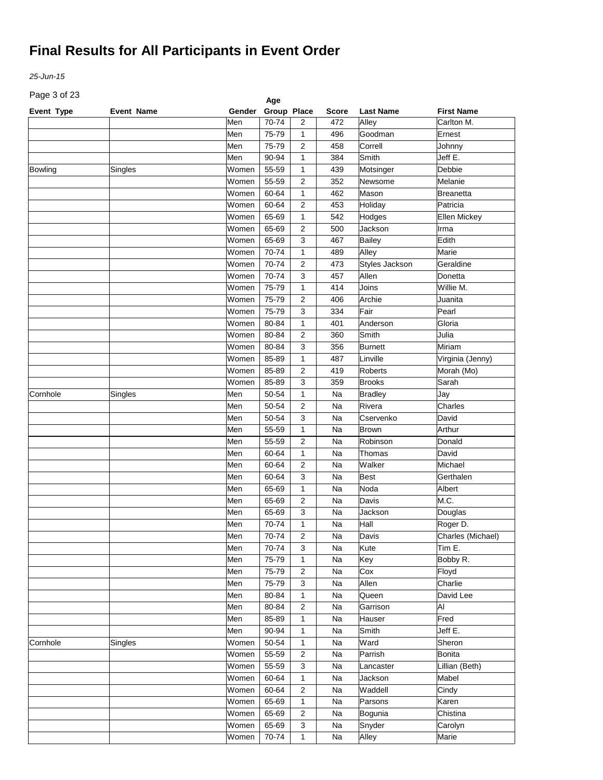*25-Jun-15*

Page 3 of 23

| Page 3 or 23      |                   |        | Age         |                |       |                  |                                |
|-------------------|-------------------|--------|-------------|----------------|-------|------------------|--------------------------------|
| <b>Event Type</b> | <b>Event Name</b> | Gender | Group Place |                | Score | <b>Last Name</b> | <b>First Name</b>              |
|                   |                   | Men    | 70-74       | 2              | 472   | Alley            | Carlton M.                     |
|                   |                   | Men    | 75-79       | 1              | 496   | Goodman          | Ernest                         |
|                   |                   | Men    | 75-79       | 2              | 458   | Correll          | Johnny                         |
|                   |                   | Men    | 90-94       | 1              | 384   | Smith            | Jeff E.                        |
| Bowling           | Singles           | Women  | 55-59       | 1              | 439   | Motsinger        | Debbie                         |
|                   |                   | Women  | 55-59       | 2              | 352   | Newsome          | Melanie                        |
|                   |                   | Women  | 60-64       | 1              | 462   | Mason            | <b>Breanetta</b>               |
|                   |                   | Women  | 60-64       | 2              | 453   | Holiday          | Patricia                       |
|                   |                   | Women  | 65-69       | 1              | 542   | Hodges           | Ellen Mickey                   |
|                   |                   | Women  | 65-69       | 2              | 500   | Jackson          | Irma                           |
|                   |                   | Women  | 65-69       | 3              | 467   | <b>Bailey</b>    | Edith                          |
|                   |                   | Women  | 70-74       | 1              | 489   | Alley            | Marie                          |
|                   |                   | Women  | 70-74       | 2              | 473   | Styles Jackson   | Geraldine                      |
|                   |                   | Women  | 70-74       | 3              | 457   | Allen            | Donetta                        |
|                   |                   | Women  | 75-79       | 1              | 414   | Joins            | $\overline{\text{W}}$ illie M. |
|                   |                   | Women  | 75-79       | 2              | 406   | Archie           | Juanita                        |
|                   |                   | Women  | 75-79       | 3              | 334   | Fair             | Pearl                          |
|                   |                   | Women  | 80-84       | 1              | 401   | Anderson         | Gloria                         |
|                   |                   | Women  | 80-84       | 2              | 360   | Smith            | Julia                          |
|                   |                   | Women  | 80-84       | 3              | 356   | <b>Burnett</b>   | Miriam                         |
|                   |                   | Women  | 85-89       | 1              | 487   | Linville         | Virginia (Jenny)               |
|                   |                   | Women  | 85-89       | $\overline{2}$ | 419   | Roberts          | Morah (Mo)                     |
|                   |                   | Women  | 85-89       | 3              | 359   | <b>Brooks</b>    | Sarah                          |
|                   |                   | Men    | 50-54       |                |       |                  |                                |
| Cornhole          | Singles           |        |             | $\mathbf{1}$   | Na    | <b>Bradley</b>   | Jay                            |
|                   |                   | Men    | 50-54       | 2              | Na    | Rivera           | Charles                        |
|                   |                   | Men    | 50-54       | 3              | Na    | Cservenko        | David                          |
|                   |                   | Men    | 55-59       | $\mathbf{1}$   | Na    | <b>Brown</b>     | Arthur                         |
|                   |                   | Men    | 55-59       | 2              | Na    | Robinson         | Donald                         |
|                   |                   | Men    | 60-64       | $\mathbf{1}$   | Na    | Thomas           | David                          |
|                   |                   | Men    | 60-64       | 2              | Na    | Walker           | Michael                        |
|                   |                   | Men    | 60-64       | 3              | Na    | <b>Best</b>      | Gerthalen                      |
|                   |                   | Men    | 65-69       | 1              | Na    | Noda             | Albert                         |
|                   |                   | Men    | 65-69       | 2              | Na    | Davis            | M.C.                           |
|                   |                   | Men    | 65-69       | 3              | Na    | Jackson          | Douglas                        |
|                   |                   | Men    | 70-74       | 1              | Na    | Hall             | Roger D.                       |
|                   |                   | Men    | 70-74       | 2              | Na    | Davis            | Charles (Michael)              |
|                   |                   | Men    | 70-74       | 3              | Na    | Kute             | Tim E.                         |
|                   |                   | Men    | 75-79       | $\mathbf{1}$   | Na    | Key              | Bobby R.                       |
|                   |                   | Men    | 75-79       | $\overline{c}$ | Na    | Cox              | Floyd                          |
|                   |                   | Men    | 75-79       | 3              | Na    | Allen            | Charlie                        |
|                   |                   | Men    | 80-84       | $\mathbf{1}$   | Na    | Queen            | David Lee                      |
|                   |                   | Men    | 80-84       | $\overline{c}$ | Na    | Garrison         | AI                             |
|                   |                   | Men    | 85-89       | $\mathbf{1}$   | Na    | Hauser           | Fred                           |
|                   |                   | Men    | 90-94       | $\mathbf{1}$   | Na    | Smith            | Jeff E.                        |
| Cornhole          | Singles           | Women  | 50-54       | $\mathbf{1}$   | Na    | Ward             | Sheron                         |
|                   |                   | Women  | 55-59       | $\overline{2}$ | Na    | Parrish          | <b>Bonita</b>                  |
|                   |                   | Women  | 55-59       | 3              | Na    | Lancaster        | Lillian (Beth)                 |
|                   |                   | Women  | 60-64       | $\mathbf{1}$   | Na    | Jackson          | Mabel                          |
|                   |                   | Women  | 60-64       | $\overline{c}$ | Na    | Waddell          | Cindy                          |
|                   |                   | Women  | 65-69       | $\mathbf{1}$   | Na    | Parsons          | Karen                          |
|                   |                   | Women  | 65-69       | $\overline{2}$ | Na    | Bogunia          | Chistina                       |
|                   |                   | Women  | 65-69       | 3              | Na    | Snyder           | Carolyn                        |
|                   |                   | Women  |             |                |       |                  | Marie                          |
|                   |                   |        | 70-74       | 1              | Na    | Alley            |                                |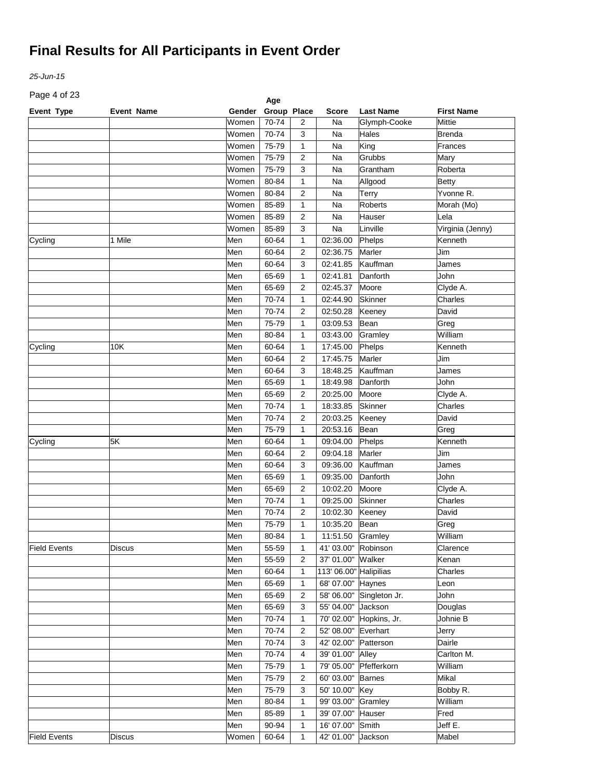*25-Jun-15*

Page 4 of 23

| Page 4 or 23        |                   |            | Age            |                         |                              |                  |                   |
|---------------------|-------------------|------------|----------------|-------------------------|------------------------------|------------------|-------------------|
| Event Type          | <b>Event Name</b> | Gender     | Group Place    |                         | <b>Score</b>                 | <b>Last Name</b> | <b>First Name</b> |
|                     |                   | Women      | 70-74          | 2                       | Na                           | Glymph-Cooke     | Mittie            |
|                     |                   | Women      | 70-74          | 3                       | Na                           | Hales            | <b>Brenda</b>     |
|                     |                   | Women      | 75-79          | 1                       | Na                           | King             | Frances           |
|                     |                   | Women      | 75-79          | $\overline{2}$          | Na                           | Grubbs           | Mary              |
|                     |                   | Women      | 75-79          | 3                       | Na                           | Grantham         | Roberta           |
|                     |                   | Women      | 80-84          | $\mathbf{1}$            | Na                           | Allgood          | <b>Betty</b>      |
|                     |                   | Women      | 80-84          | $\overline{\mathbf{c}}$ | Na                           | Terry            | Yvonne R.         |
|                     |                   | Women      | 85-89          | $\mathbf{1}$            | Na                           | <b>Roberts</b>   | Morah (Mo)        |
|                     |                   | Women      | 85-89          | $\overline{2}$          | Na                           | Hauser           | Lela              |
|                     |                   | Women      | 85-89          | 3                       | Na                           | Linville         | Virginia (Jenny)  |
| Cycling             | 1 Mile            | Men        | 60-64          | $\mathbf{1}$            | 02:36.00                     | Phelps           | Kenneth           |
|                     |                   | Men        | 60-64          | 2                       | 02:36.75                     | Marler           | Jim               |
|                     |                   | Men        | 60-64          | 3                       | 02:41.85                     | Kauffman         | James             |
|                     |                   | Men        | 65-69          | 1                       | 02:41.81                     | Danforth         | John              |
|                     |                   | Men        | 65-69          | 2                       | 02:45.37                     | Moore            | Clyde A.          |
|                     |                   | Men        | 70-74          | 1                       | 02:44.90                     | Skinner          | Charles           |
|                     |                   | Men        | 70-74          | $\overline{2}$          | 02:50.28                     | Keeney           | David             |
|                     |                   | Men        | 75-79          | $\mathbf{1}$            | 03:09.53                     | Bean             | Greg              |
|                     |                   | Men        | 80-84          | 1                       | 03:43.00                     | Gramley          | William           |
| Cycling             | 10K               | Men        | 60-64          | $\mathbf{1}$            | 17:45.00                     | Phelps           | Kenneth           |
|                     |                   | Men        | 60-64          | $\overline{2}$          | 17:45.75                     | Marler           | Jim               |
|                     |                   | Men        | 60-64          | 3                       | 18:48.25                     | Kauffman         | James             |
|                     |                   | Men        | 65-69          | $\mathbf{1}$            | 18:49.98                     | Danforth         | John              |
|                     |                   | Men        | 65-69          | $\overline{2}$          | 20:25.00                     | Moore            | Clyde A.          |
|                     |                   | Men        | 70-74          | $\mathbf{1}$            | 18:33.85                     | <b>Skinner</b>   | Charles           |
|                     |                   | Men        | 70-74          | $\overline{2}$          | 20:03.25                     | Keeney           | David             |
|                     |                   | Men        | 75-79          | 1                       | 20:53.16                     | Bean             | Greg              |
| Cycling             | 5K                | Men        | 60-64          | $\mathbf{1}$            | 09:04.00                     | Phelps           | Kenneth           |
|                     |                   | Men        | 60-64          | $\overline{2}$          | 09:04.18                     | Marler           | Jim               |
|                     |                   | Men        | 60-64          | 3                       | 09:36.00                     | Kauffman         | James             |
|                     |                   | Men        | 65-69          | $\mathbf{1}$            | 09:35.00                     | Danforth         | John              |
|                     |                   | Men        | 65-69          | $\overline{2}$          | 10:02.20                     | Moore            | Clyde A.          |
|                     |                   | Men        | 70-74          | $\mathbf{1}$            | 09:25.00                     | <b>Skinner</b>   | Charles           |
|                     |                   | Men        | 70-74          | $\overline{2}$          | 10:02.30                     |                  | David             |
|                     |                   |            | 75-79          | $\mathbf{1}$            |                              | Keeney<br>Bean   |                   |
|                     |                   | Men<br>Men | 80-84          | $\mathbf{1}$            | 10:35.20<br>11:51.50 Gramley |                  | Greg<br>William   |
|                     |                   |            |                |                         |                              |                  |                   |
| <b>Field Events</b> | <b>Discus</b>     | Men        | 55-59          | $\mathbf{1}$            | 41' 03.00" Robinson          |                  | Clarence          |
|                     |                   | Men        | 55-59<br>60-64 | 2                       | 37' 01.00"                   | Walker           | Kenan             |
|                     |                   | Men        |                | 1                       | 113' 06.00" Halipilias       |                  | Charles           |
|                     |                   | Men        | 65-69          | 1                       | 68' 07.00"                   | Haynes           | Leon              |
|                     |                   | Men        | 65-69          | $\overline{2}$          | 58' 06.00"                   | Singleton Jr.    | John              |
|                     |                   | Men        | 65-69          | 3                       | 55' 04.00"                   | Jackson          | Douglas           |
|                     |                   | Men        | 70-74          | 1                       | 70' 02.00"                   | Hopkins, Jr.     | Johnie B          |
|                     |                   | Men        | 70-74          | 2                       | 52' 08.00"                   | Everhart         | Jerry             |
|                     |                   | Men        | 70-74          | 3                       | 42' 02.00"                   | Patterson        | Dairle            |
|                     |                   | Men        | 70-74          | 4                       | 39' 01.00"                   | Alley            | Carlton M.        |
|                     |                   | Men        | 75-79          | $\mathbf{1}$            | 79' 05.00"                   | Pfefferkorn      | William           |
|                     |                   | Men        | 75-79          | 2                       | 60' 03.00"                   | <b>Barnes</b>    | Mikal             |
|                     |                   | Men        | 75-79          | 3                       | 50' 10.00"                   | Key              | Bobby R.          |
|                     |                   | Men        | 80-84          | 1                       | 99' 03.00"                   | Gramley          | William           |
|                     |                   | Men        | 85-89          | 1                       | 39' 07.00"                   | Hauser           | Fred              |
|                     |                   | Men        | 90-94          | $\mathbf{1}$            | 16' 07.00"                   | Smith            | Jeff E.           |
| <b>Field Events</b> | Discus            | Women      | 60-64          | 1                       | 42' 01.00"                   | Jackson          | Mabel             |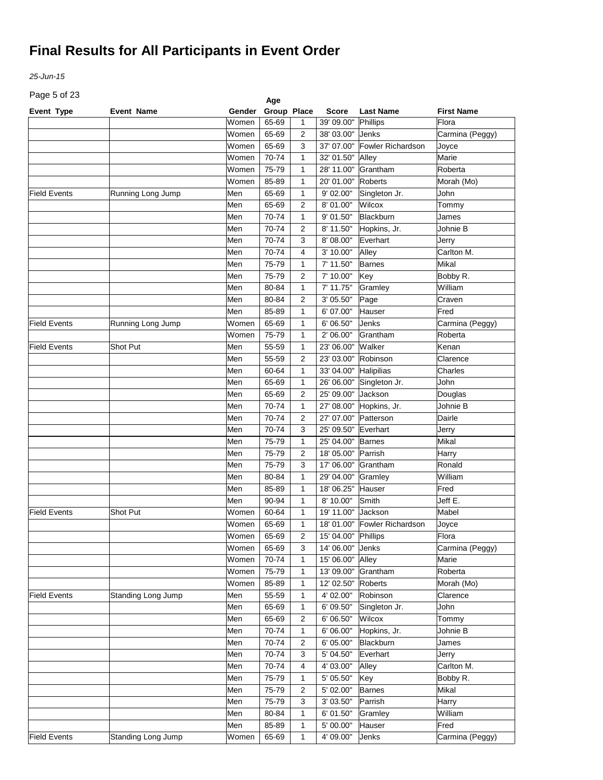*25-Jun-15*

Page 5 of 23

| Page 5 or 23        |                    |                | Age         |                     |                     |                          |                   |
|---------------------|--------------------|----------------|-------------|---------------------|---------------------|--------------------------|-------------------|
| Event Type          | <b>Event Name</b>  | Gender         | Group Place |                     | <b>Score</b>        | <b>Last Name</b>         | <b>First Name</b> |
|                     |                    | Women          | 65-69       | 1                   | 39' 09.00"          | Phillips                 | Flora             |
|                     |                    | Women          | 65-69       | 2                   | 38' 03.00"          | Jenks                    | Carmina (Peggy)   |
|                     |                    | Women          | 65-69       | 3                   | 37' 07.00"          | <b>Fowler Richardson</b> | Joyce             |
|                     |                    | Women          | 70-74       | 1                   | 32' 01.50"          | Alley                    | Marie             |
|                     |                    | Women          | 75-79       | 1                   | 28' 11.00"          | Grantham                 | Roberta           |
|                     |                    | Women          | 85-89       | 1                   | 20' 01.00"          | <b>Roberts</b>           | Morah (Mo)        |
| <b>Field Events</b> | Running Long Jump  | Men            | 65-69       | 1                   | 9' 02.00"           | Singleton Jr.            | John              |
|                     |                    | Men            | 65-69       | 2                   | 8' 01.00"           | Wilcox                   | Tommy             |
|                     |                    | Men            | 70-74       | 1                   | 9' 01.50"           | Blackburn                | James             |
|                     |                    | Men            | 70-74       | 2                   | 8' 11.50"           | Hopkins, Jr.             | Johnie B          |
|                     |                    | Men            | 70-74       | 3                   | 8' 08.00"           | Everhart                 | Jerry             |
|                     |                    | Men            | 70-74       | 4                   | 3' 10.00"           | Alley                    | Carlton M.        |
|                     |                    | Men            | 75-79       | 1                   | 7' 11.50"           | Barnes                   | Mikal             |
|                     |                    | Men            | 75-79       | 2                   | 7' 10.00"           | Key                      | Bobby R.          |
|                     |                    | Men            | 80-84       | 1                   | 7' 11.75"           | Gramley                  | William           |
|                     |                    | Men            | 80-84       | 2                   | 3' 05.50"           | Page                     | Craven            |
|                     |                    | Men            | 85-89       | 1                   | 6' 07.00"           | Hauser                   | Fred              |
| <b>Field Events</b> | Running Long Jump  | Women          | 65-69       | 1                   | 6' 06.50"           | Jenks                    | Carmina (Peggy)   |
|                     |                    | Women          | 75-79       | 1                   | 2' 06.00"           | Grantham                 | Roberta           |
| <b>Field Events</b> | Shot Put           | Men            | 55-59       | 1                   | 23' 06.00"          | Walker                   | Kenan             |
|                     |                    | Men            | 55-59       | 2                   | 23' 03.00"          | Robinson                 | Clarence          |
|                     |                    | Men            | 60-64       | $\mathbf{1}$        | 33' 04.00"          | Halipilias               | Charles           |
|                     |                    | Men            | 65-69       | 1                   | 26' 06.00"          | Singleton Jr.            | John              |
|                     |                    | Men            | 65-69       | 2                   | 25' 09.00"          | Jackson                  | Douglas           |
|                     |                    | Men            | 70-74       | 1                   | 27' 08.00"          | Hopkins, Jr.             | Johnie B          |
|                     |                    | Men            | 70-74       | 2                   | 27' 07.00"          | Patterson                | Dairle            |
|                     |                    | Men            | 70-74       | 3                   | 25' 09.50"          | Everhart                 | Jerry             |
|                     |                    | Men            | 75-79       | 1                   | 25' 04.00"          | <b>Barnes</b>            | Mikal             |
|                     |                    | Men            | 75-79       | 2                   | 18' 05.00"          | Parrish                  | Harry             |
|                     |                    | Men            | 75-79       | 3                   | 17' 06.00"          | Grantham                 | Ronald            |
|                     |                    | Men            | 80-84       | 1                   | 29' 04.00"          | Gramley                  | William           |
|                     |                    | Men            | 85-89       | 1                   | 18' 06.25"          | Hauser                   | Fred              |
|                     |                    | Men            | 90-94       | 1                   | 8' 10.00"           | Smith                    | Jeff E.           |
| <b>Field Events</b> | <b>Shot Put</b>    | Women          | 60-64       | $\mathbf{1}$        | 19' 11.00"          | Jackson                  | Mabel             |
|                     |                    |                | 65-69       |                     | 18' 01.00"          | <b>Fowler Richardson</b> |                   |
|                     |                    | Women          | 65-69       | 1<br>$\overline{a}$ | 15' 04.00" Phillips |                          | Joyce<br>Flora    |
|                     |                    | Women          |             |                     |                     |                          |                   |
|                     |                    | Women          | 65-69       | 3                   | 14' 06.00"          | Jenks                    | Carmina (Peggy)   |
|                     |                    | Women          | 70-74       | 1                   | 15' 06.00"          | Alley                    | Marie             |
|                     |                    | Women<br>Women | 75-79       | 1                   | 13' 09.00"          | Grantham                 | Roberta           |
|                     |                    |                | 85-89       | 1                   | 12' 02.50"          | Roberts                  | Morah (Mo)        |
| <b>Field Events</b> | Standing Long Jump | Men            | 55-59       | 1                   | 4' 02.00"           | Robinson                 | Clarence          |
|                     |                    | Men            | 65-69       | 1                   | 6' 09.50"           | Singleton Jr.            | John              |
|                     |                    | Men            | 65-69       | 2                   | 6' 06.50"           | Wilcox                   | Tommy             |
|                     |                    | Men            | 70-74       | 1                   | 6' 06.00"           | Hopkins, Jr.             | Johnie B          |
|                     |                    | Men            | 70-74       | 2                   | 6' 05.00"           | Blackburn                | James             |
|                     |                    | Men            | 70-74       | 3                   | 5' 04.50"           | Everhart                 | Jerry             |
|                     |                    | Men            | 70-74       | 4                   | 4' 03.00"           | Alley                    | Carlton M.        |
|                     |                    | Men            | 75-79       | 1                   | 5' 05.50"           | Key                      | Bobby R.          |
|                     |                    | Men            | 75-79       | 2                   | 5' 02.00"           | <b>Barnes</b>            | Mikal             |
|                     |                    | Men            | 75-79       | 3                   | 3' 03.50"           | Parrish                  | Harry             |
|                     |                    | Men            | 80-84       | 1                   | 6' 01.50"           | Gramley                  | William           |
|                     |                    | Men            | 85-89       | 1                   | 5' 00.00"           | Hauser                   | Fred              |
| <b>Field Events</b> | Standing Long Jump | Women          | 65-69       | 1                   | 4' 09.00"           | Jenks                    | Carmina (Peggy)   |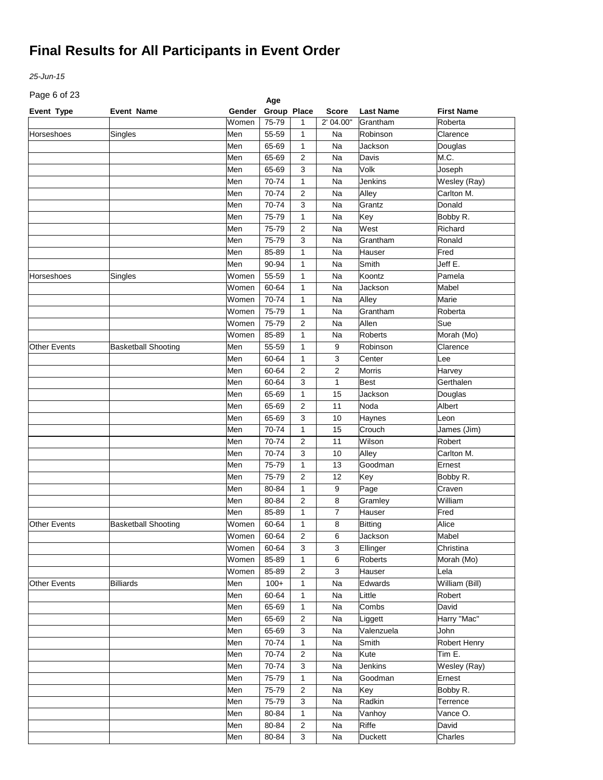*25-Jun-15*

Page 6 of 23

| Page 6 or 23<br>Age |                            |        |             |                |                |                  |                   |  |  |
|---------------------|----------------------------|--------|-------------|----------------|----------------|------------------|-------------------|--|--|
| Event Type          | <b>Event Name</b>          | Gender | Group Place |                | <b>Score</b>   | <b>Last Name</b> | <b>First Name</b> |  |  |
|                     |                            | Women  | 75-79       | 1              | 2' 04.00"      | Grantham         | Roberta           |  |  |
| Horseshoes          | Singles                    | Men    | 55-59       | 1              | Na             | Robinson         | Clarence          |  |  |
|                     |                            | Men    | 65-69       | 1              | Na             | Jackson          | Douglas           |  |  |
|                     |                            | Men    | 65-69       | $\overline{2}$ | Na             | Davis            | M.C.              |  |  |
|                     |                            | Men    | 65-69       | 3              | Na             | Volk             | Joseph            |  |  |
|                     |                            | Men    | 70-74       | $\mathbf{1}$   | Na             | <b>Jenkins</b>   | Wesley (Ray)      |  |  |
|                     |                            | Men    | 70-74       | $\overline{2}$ | Na             | Alley            | Carlton M.        |  |  |
|                     |                            | Men    | 70-74       | 3              | Na             | Grantz           | Donald            |  |  |
|                     |                            | Men    | 75-79       | $\mathbf{1}$   | Na             | Key              | Bobby R.          |  |  |
|                     |                            | Men    | 75-79       | $\overline{2}$ | Na             | West             | Richard           |  |  |
|                     |                            | Men    | 75-79       | 3              | Na             | Grantham         | Ronald            |  |  |
|                     |                            | Men    | 85-89       | 1              | Na             | Hauser           | Fred              |  |  |
|                     |                            | Men    | 90-94       | 1              | Na             | Smith            | Jeff E.           |  |  |
| Horseshoes          | Singles                    | Women  | 55-59       | 1              | Na             | Koontz           | Pamela            |  |  |
|                     |                            | Women  | 60-64       | 1              | Na             | Jackson          | Mabel             |  |  |
|                     |                            | Women  | 70-74       | 1              | Na             | Alley            | Marie             |  |  |
|                     |                            | Women  | 75-79       | 1              | Na             | Grantham         | Roberta           |  |  |
|                     |                            | Women  | 75-79       | $\overline{2}$ | Na             | Allen            | Sue               |  |  |
|                     |                            | Women  | 85-89       | 1              | Na             | Roberts          | Morah (Mo)        |  |  |
| <b>Other Events</b> | <b>Basketball Shooting</b> | Men    | 55-59       | 1              | 9              | Robinson         | Clarence          |  |  |
|                     |                            | Men    | 60-64       | $\mathbf{1}$   | 3              | Center           | Lee               |  |  |
|                     |                            |        |             |                |                |                  |                   |  |  |
|                     |                            | Men    | 60-64       | $\overline{2}$ | $\overline{2}$ | <b>Morris</b>    | Harvey            |  |  |
|                     |                            | Men    | 60-64       | 3              | $\mathbf{1}$   | <b>Best</b>      | Gerthalen         |  |  |
|                     |                            | Men    | 65-69       | $\mathbf{1}$   | 15             | Jackson          | Douglas           |  |  |
|                     |                            | Men    | 65-69       | $\overline{2}$ | 11             | Noda             | Albert            |  |  |
|                     |                            | Men    | 65-69       | 3              | 10             | Haynes           | Leon              |  |  |
|                     |                            | Men    | 70-74       | 1              | 15             | Crouch           | James (Jim)       |  |  |
|                     |                            | Men    | 70-74       | $\overline{2}$ | 11             | Wilson           | Robert            |  |  |
|                     |                            | Men    | 70-74       | 3              | 10             | Alley            | Carlton M.        |  |  |
|                     |                            | Men    | 75-79       | $\mathbf{1}$   | 13             | Goodman          | Ernest            |  |  |
|                     |                            | Men    | 75-79       | $\overline{2}$ | 12             | Key              | Bobby R.          |  |  |
|                     |                            | Men    | 80-84       | $\mathbf{1}$   | 9              | Page             | Craven            |  |  |
|                     |                            | Men    | 80-84       | $\overline{2}$ | 8              | Gramley          | William           |  |  |
|                     |                            | Men    | 85-89       | $\mathbf{1}$   | 7              | Hauser           | Fred              |  |  |
| <b>Other Events</b> | <b>Basketball Shooting</b> | Women  | 60-64       | $\mathbf{1}$   | 8              | <b>Bitting</b>   | Alice             |  |  |
|                     |                            | Women  | 60-64       | $\mathbf{2}$   | 6              | Jackson          | Mabel             |  |  |
|                     |                            | Women  | 60-64       | 3              | 3              | Ellinger         | Christina         |  |  |
|                     |                            | Women  | 85-89       | $\mathbf{1}$   | 6              | Roberts          | Morah (Mo)        |  |  |
|                     |                            | Women  | 85-89       | $\overline{2}$ | 3              | Hauser           | Lela              |  |  |
| <b>Other Events</b> | Billiards                  | Men    | $100+$      | 1              | Na             | Edwards          | William (Bill)    |  |  |
|                     |                            | Men    | 60-64       | $\mathbf{1}$   | Na             | Little           | Robert            |  |  |
|                     |                            | Men    | 65-69       | $\mathbf{1}$   | Na             | Combs            | David             |  |  |
|                     |                            | Men    | 65-69       | 2              | Na             | Liggett          | Harry "Mac"       |  |  |
|                     |                            | Men    | 65-69       | 3              | Na             | Valenzuela       | John              |  |  |
|                     |                            | Men    | 70-74       | $\mathbf{1}$   | Na             | Smith            | Robert Henry      |  |  |
|                     |                            | Men    | 70-74       | 2              | Na             | Kute             | Tim E.            |  |  |
|                     |                            | Men    | 70-74       | 3              | Na             | Jenkins          | Wesley (Ray)      |  |  |
|                     |                            | Men    | 75-79       | $\mathbf{1}$   | Na             | Goodman          | Ernest            |  |  |
|                     |                            |        |             |                |                |                  |                   |  |  |
|                     |                            | Men    | 75-79       | 2              | Na             | Key              | Bobby R.          |  |  |
|                     |                            | Men    | 75-79       | 3              | Na             | Radkin           | Terrence          |  |  |
|                     |                            | Men    | 80-84       | $\mathbf{1}$   | Na             | Vanhoy           | Vance O.          |  |  |
|                     |                            | Men    | 80-84       | $\overline{c}$ | Na             | Riffe            | David             |  |  |
|                     |                            | Men    | 80-84       | 3              | Na             | Duckett          | Charles           |  |  |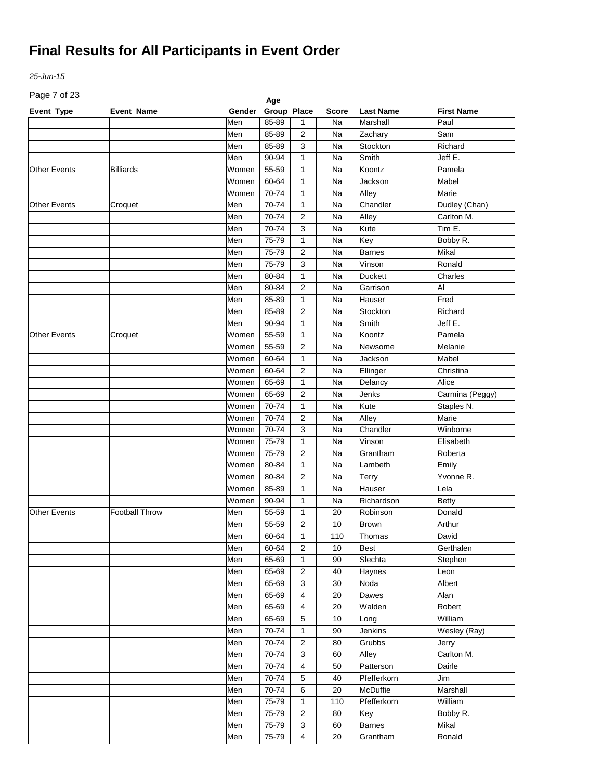*25-Jun-15*

Page 7 of 23

| Page / or 23<br>Age |                       |        |             |                |              |                  |                   |  |  |
|---------------------|-----------------------|--------|-------------|----------------|--------------|------------------|-------------------|--|--|
| Event Type          | <b>Event Name</b>     | Gender | Group Place |                | <b>Score</b> | <b>Last Name</b> | <b>First Name</b> |  |  |
|                     |                       | Men    | 85-89       | 1              | Na           | Marshall         | Paul              |  |  |
|                     |                       | Men    | 85-89       | 2              | Na           | Zachary          | Sam               |  |  |
|                     |                       | Men    | 85-89       | 3              | Na           | Stockton         | Richard           |  |  |
|                     |                       | Men    | 90-94       | 1              | Na           | Smith            | Jeff E.           |  |  |
| <b>Other Events</b> | Billiards             | Women  | 55-59       | 1              | Na           | Koontz           | Pamela            |  |  |
|                     |                       | Women  | 60-64       | 1              | Na           | Jackson          | Mabel             |  |  |
|                     |                       | Women  | 70-74       | 1              | Na           | Alley            | Marie             |  |  |
| <b>Other Events</b> | Croquet               | Men    | 70-74       | 1              | Na           | Chandler         | Dudley (Chan)     |  |  |
|                     |                       | Men    | 70-74       | 2              | Na           | Alley            | Carlton M.        |  |  |
|                     |                       | Men    | 70-74       | 3              | Na           | Kute             | Tim E.            |  |  |
|                     |                       | Men    | 75-79       | 1              | Na           | Key              | Bobby R.          |  |  |
|                     |                       | Men    | 75-79       | 2              | Na           | <b>Barnes</b>    | Mikal             |  |  |
|                     |                       | Men    | 75-79       | 3              | Na           | Vinson           | Ronald            |  |  |
|                     |                       | Men    | 80-84       | 1              | Na           | <b>Duckett</b>   | Charles           |  |  |
|                     |                       | Men    | 80-84       | $\overline{2}$ | Na           | Garrison         | Al                |  |  |
|                     |                       | Men    | 85-89       | $\mathbf{1}$   | Na           | Hauser           | Fred              |  |  |
|                     |                       | Men    | 85-89       | $\overline{2}$ | Na           | Stockton         | Richard           |  |  |
|                     |                       | Men    | 90-94       | $\mathbf{1}$   | Na           | Smith            | Jeff E.           |  |  |
| <b>Other Events</b> | Croquet               | Women  | 55-59       | 1              | Na           | Koontz           | Pamela            |  |  |
|                     |                       | Women  | 55-59       | $\overline{2}$ | Na           | Newsome          | Melanie           |  |  |
|                     |                       | Women  | 60-64       | 1              | Na           | Jackson          | Mabel             |  |  |
|                     |                       | Women  | 60-64       | 2              | Na           |                  | Christina         |  |  |
|                     |                       | Women  | 65-69       |                |              | Ellinger         | Alice             |  |  |
|                     |                       |        |             | 1              | Na           | Delancy          |                   |  |  |
|                     |                       | Women  | 65-69       | $\overline{2}$ | Na           | Jenks            | Carmina (Peggy)   |  |  |
|                     |                       | Women  | 70-74       | 1              | Na           | Kute             | Staples N.        |  |  |
|                     |                       | Women  | 70-74       | 2              | Na           | Alley            | Marie             |  |  |
|                     |                       | Women  | 70-74       | 3              | Na           | Chandler         | Winborne          |  |  |
|                     |                       | Women  | 75-79       | $\mathbf{1}$   | Na           | Vinson           | Elisabeth         |  |  |
|                     |                       | Women  | 75-79       | $\overline{2}$ | Na           | Grantham         | Roberta           |  |  |
|                     |                       | Women  | 80-84       | $\mathbf{1}$   | Na           | Lambeth          | Emily             |  |  |
|                     |                       | Women  | 80-84       | $\overline{2}$ | Na           | Terry            | Yvonne R.         |  |  |
|                     |                       | Women  | 85-89       | $\mathbf{1}$   | Na           | Hauser           | Lela              |  |  |
|                     |                       | Women  | 90-94       | 1              | Na           | Richardson       | <b>Betty</b>      |  |  |
| <b>Other Events</b> | <b>Football Throw</b> | Men    | 55-59       | 1              | 20           | Robinson         | Donald            |  |  |
|                     |                       | Men    | 55-59       | 2              | 10           | <b>Brown</b>     | Arthur            |  |  |
|                     |                       | Men    | 60-64       | $\mathbf{1}$   | 110          | Thomas           | David             |  |  |
|                     |                       | Men    | 60-64       | $\overline{2}$ | 10           | <b>Best</b>      | Gerthalen         |  |  |
|                     |                       | Men    | 65-69       | $\mathbf{1}$   | 90           | Slechta          | Stephen           |  |  |
|                     |                       | Men    | 65-69       | $\overline{2}$ | 40           | Haynes           | Leon              |  |  |
|                     |                       | Men    | 65-69       | 3              | 30           | Noda             | Albert            |  |  |
|                     |                       | Men    | 65-69       | 4              | 20           | Dawes            | Alan              |  |  |
|                     |                       | Men    | 65-69       | 4              | 20           | Walden           | Robert            |  |  |
|                     |                       | Men    | 65-69       | 5              | 10           | Long             | William           |  |  |
|                     |                       | Men    | 70-74       | $\mathbf{1}$   | 90           | Jenkins          | Wesley (Ray)      |  |  |
|                     |                       | Men    | 70-74       | $\overline{c}$ | 80           | Grubbs           | Jerry             |  |  |
|                     |                       | Men    | 70-74       | 3              | 60           | Alley            | Carlton M.        |  |  |
|                     |                       | Men    | 70-74       | 4              | 50           | Patterson        | Dairle            |  |  |
|                     |                       | Men    | 70-74       | 5              | 40           | Pfefferkorn      | Jim               |  |  |
|                     |                       | Men    | 70-74       | 6              | 20           | McDuffie         | Marshall          |  |  |
|                     |                       | Men    | 75-79       | $\mathbf{1}$   | 110          | Pfefferkorn      | William           |  |  |
|                     |                       | Men    | 75-79       | $\overline{2}$ | 80           | Key              | Bobby R.          |  |  |
|                     |                       | Men    | 75-79       | 3              | 60           | Barnes           | Mikal             |  |  |
|                     |                       | Men    | 75-79       | 4              | 20           | Grantham         | Ronald            |  |  |
|                     |                       |        |             |                |              |                  |                   |  |  |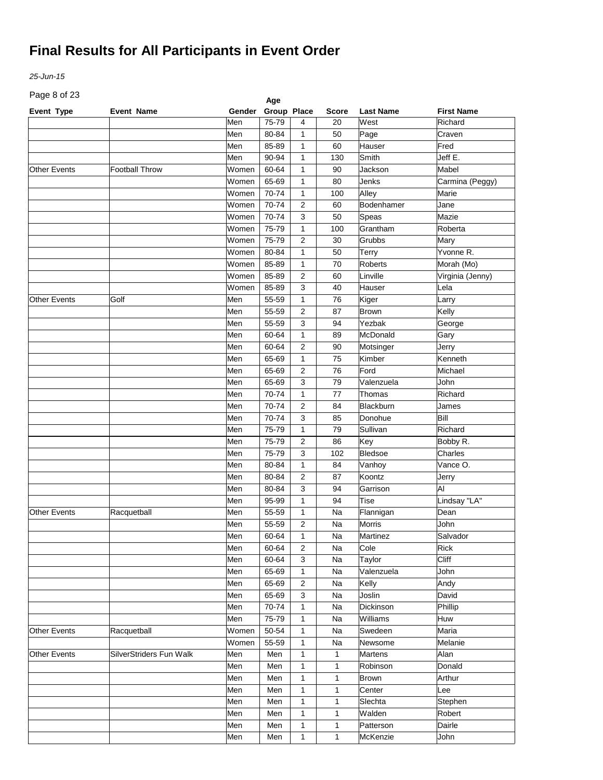*25-Jun-15*

Page 8 of 23

| Page 8 or 23<br>Age |                                |        |             |                |              |                  |                   |  |  |
|---------------------|--------------------------------|--------|-------------|----------------|--------------|------------------|-------------------|--|--|
| Event Type          | <b>Event Name</b>              | Gender | Group Place |                | <b>Score</b> | <b>Last Name</b> | <b>First Name</b> |  |  |
|                     |                                | Men    | 75-79       | 4              | 20           | West             | Richard           |  |  |
|                     |                                | Men    | 80-84       | 1              | 50           | Page             | Craven            |  |  |
|                     |                                | Men    | 85-89       | 1              | 60           | Hauser           | Fred              |  |  |
|                     |                                | Men    | 90-94       | 1              | 130          | Smith            | Jeff E.           |  |  |
| <b>Other Events</b> | <b>Football Throw</b>          | Women  | 60-64       | 1              | 90           | Jackson          | Mabel             |  |  |
|                     |                                | Women  | 65-69       | 1              | 80           | Jenks            | Carmina (Peggy)   |  |  |
|                     |                                | Women  | 70-74       | 1              | 100          | Alley            | Marie             |  |  |
|                     |                                | Women  | 70-74       | 2              | 60           | Bodenhamer       | Jane              |  |  |
|                     |                                | Women  | 70-74       | 3              | 50           | Speas            | Mazie             |  |  |
|                     |                                | Women  | 75-79       | 1              | 100          | Grantham         | Roberta           |  |  |
|                     |                                | Women  | 75-79       | 2              | 30           | Grubbs           | Mary              |  |  |
|                     |                                | Women  | 80-84       | 1              | 50           | <b>Terry</b>     | Yvonne R.         |  |  |
|                     |                                | Women  | 85-89       | 1              | 70           | Roberts          | Morah (Mo)        |  |  |
|                     |                                | Women  | 85-89       | 2              | 60           | Linville         | Virginia (Jenny)  |  |  |
|                     |                                | Women  | 85-89       | 3              | 40           | Hauser           | Lela              |  |  |
| <b>Other Events</b> | Golf                           | Men    | 55-59       | 1              | 76           | Kiger            | Larry             |  |  |
|                     |                                | Men    | 55-59       | $\overline{2}$ | 87           | <b>Brown</b>     | Kelly             |  |  |
|                     |                                | Men    | 55-59       | 3              | 94           | Yezbak           | George            |  |  |
|                     |                                | Men    | 60-64       | 1              | 89           | McDonald         |                   |  |  |
|                     |                                | Men    |             | 2              |              |                  | Gary              |  |  |
|                     |                                |        | 60-64       |                | 90           | Motsinger        | Jerry<br>Kenneth  |  |  |
|                     |                                | Men    | 65-69       | 1              | 75           | Kimber           |                   |  |  |
|                     |                                | Men    | 65-69       | 2              | 76           | Ford             | Michael           |  |  |
|                     |                                | Men    | 65-69       | 3              | 79           | Valenzuela       | John              |  |  |
|                     |                                | Men    | 70-74       | 1              | 77           | Thomas           | Richard           |  |  |
|                     |                                | Men    | 70-74       | 2              | 84           | <b>Blackburn</b> | James             |  |  |
|                     |                                | Men    | 70-74       | 3              | 85           | Donohue          | Bill              |  |  |
|                     |                                | Men    | 75-79       | $\mathbf{1}$   | 79           | Sullivan         | Richard           |  |  |
|                     |                                | Men    | 75-79       | $\overline{2}$ | 86           | Key              | Bobby R.          |  |  |
|                     |                                | Men    | 75-79       | 3              | 102          | Bledsoe          | Charles           |  |  |
|                     |                                | Men    | 80-84       | $\mathbf{1}$   | 84           | Vanhoy           | Vance O.          |  |  |
|                     |                                | Men    | 80-84       | $\overline{2}$ | 87           | Koontz           | Jerry             |  |  |
|                     |                                | Men    | 80-84       | 3              | 94           | Garrison         | AI                |  |  |
|                     |                                | Men    | 95-99       | $\mathbf{1}$   | 94           | Tise             | Lindsay "LA"      |  |  |
| <b>Other Events</b> | Racquetball                    | Men    | 55-59       | 1              | Na           | Flannigan        | Dean              |  |  |
|                     |                                | Men    | 55-59       | 2              | Na           | Morris           | John              |  |  |
|                     |                                | Men    | 60-64       | $\mathbf{1}$   | Na           | Martinez         | Salvador          |  |  |
|                     |                                | Men    | 60-64       | $\overline{2}$ | Na           | Cole             | Rick              |  |  |
|                     |                                | Men    | 60-64       | 3              | Na           | Taylor           | Cliff             |  |  |
|                     |                                | Men    | 65-69       | $\mathbf{1}$   | Na           | Valenzuela       | John              |  |  |
|                     |                                | Men    | 65-69       | $\overline{c}$ | Na           | Kelly            | Andy              |  |  |
|                     |                                | Men    | 65-69       | 3              | Na           | Joslin           | David             |  |  |
|                     |                                | Men    | 70-74       | $\mathbf{1}$   | Na           | Dickinson        | Phillip           |  |  |
|                     |                                | Men    | 75-79       | $\mathbf{1}$   | Na           | Williams         | Huw               |  |  |
| <b>Other Events</b> | Racquetball                    | Women  | 50-54       | $\mathbf{1}$   | Na           | Swedeen          | Maria             |  |  |
|                     |                                | Women  | 55-59       | $\mathbf{1}$   | Na           | Newsome          | Melanie           |  |  |
| Other Events        | <b>SilverStriders Fun Walk</b> | Men    | Men         | $\mathbf{1}$   | 1            | Martens          | Alan              |  |  |
|                     |                                | Men    | Men         | $\mathbf{1}$   | 1            | Robinson         | Donald            |  |  |
|                     |                                |        |             |                |              |                  | Arthur            |  |  |
|                     |                                | Men    | Men         | 1              | 1            | <b>Brown</b>     |                   |  |  |
|                     |                                | Men    | Men         | $\mathbf{1}$   | 1            | Center           | Lee               |  |  |
|                     |                                | Men    | Men         | $\mathbf{1}$   | 1            | Slechta          | Stephen           |  |  |
|                     |                                | Men    | Men         | $\mathbf{1}$   | 1            | Walden           | Robert            |  |  |
|                     |                                | Men    | Men         | 1              | 1            | Patterson        | Dairle            |  |  |
|                     |                                | Men    | Men         | $\mathbf{1}$   | $\mathbf{1}$ | McKenzie         | John              |  |  |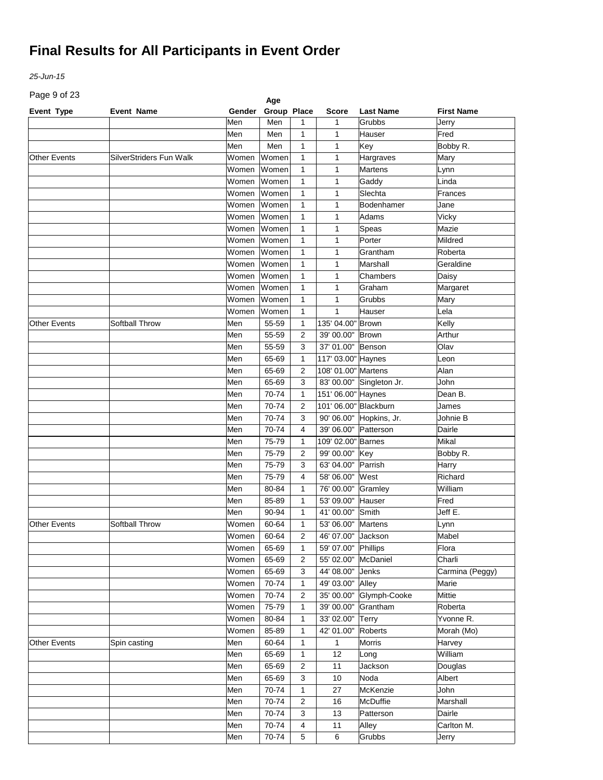*25-Jun-15*

Page 9 of 23

| Page 9 or 23<br>Age |                         |        |             |                |                       |                  |                   |  |  |
|---------------------|-------------------------|--------|-------------|----------------|-----------------------|------------------|-------------------|--|--|
| <b>Event Type</b>   | <b>Event Name</b>       | Gender | Group Place |                | <b>Score</b>          | <b>Last Name</b> | <b>First Name</b> |  |  |
|                     |                         | Men    | Men         | 1              | 1                     | Grubbs           | Jerry             |  |  |
|                     |                         | Men    | Men         | 1              | 1                     | Hauser           | Fred              |  |  |
|                     |                         | Men    | Men         | 1              | $\mathbf{1}$          | Key              | Bobby R.          |  |  |
| <b>Other Events</b> | SilverStriders Fun Walk | Women  | Women       | 1              | $\mathbf{1}$          | Hargraves        | Mary              |  |  |
|                     |                         | Women  | Women       | 1              | $\mathbf{1}$          | <b>Martens</b>   | Lynn              |  |  |
|                     |                         | Women  | Women       | 1              | $\mathbf{1}$          | Gaddy            | Linda             |  |  |
|                     |                         | Women  | Women       | 1              | $\mathbf{1}$          | Slechta          | Frances           |  |  |
|                     |                         | Women  | Women       | 1              | $\mathbf{1}$          | Bodenhamer       | Jane              |  |  |
|                     |                         | Women  | Women       | 1              | $\mathbf{1}$          | Adams            | Vicky             |  |  |
|                     |                         | Women  | Women       | 1              | 1                     | Speas            | Mazie             |  |  |
|                     |                         | Women  | Women       | 1              | 1                     | Porter           | Mildred           |  |  |
|                     |                         | Women  | Women       | 1              | 1                     | Grantham         | Roberta           |  |  |
|                     |                         | Women  | Women       | 1              | $\mathbf{1}$          | Marshall         | Geraldine         |  |  |
|                     |                         | Women  | Women       | 1              | $\mathbf{1}$          | Chambers         | Daisy             |  |  |
|                     |                         | Women  | Women       | 1              | $\mathbf{1}$          | Graham           | Margaret          |  |  |
|                     |                         | Women  | Women       | 1              | $\mathbf{1}$          | Grubbs           | Mary              |  |  |
|                     |                         | Women  | Women       | 1              | $\mathbf{1}$          | Hauser           | Lela              |  |  |
| <b>Other Events</b> | Softball Throw          | Men    | 55-59       | 1              | 135' 04.00"           | Brown            | Kelly             |  |  |
|                     |                         | Men    | 55-59       | 2              | 39' 00.00"            | <b>Brown</b>     | Arthur            |  |  |
|                     |                         | Men    | 55-59       | 3              | 37' 01.00"            | Benson           | Olav              |  |  |
|                     |                         | Men    | 65-69       | 1              | 117' 03.00" Haynes    |                  | Leon              |  |  |
|                     |                         | Men    | 65-69       | 2              | 108' 01.00" Martens   |                  | Alan              |  |  |
|                     |                         | Men    | 65-69       | 3              | 83' 00.00"            | Singleton Jr.    | John              |  |  |
|                     |                         | Men    | 70-74       | 1              | 151' 06.00" Haynes    |                  | Dean B.           |  |  |
|                     |                         | Men    | 70-74       | 2              | 101' 06.00" Blackburn |                  | James             |  |  |
|                     |                         | Men    | 70-74       | 3              | 90' 06.00"            | Hopkins, Jr.     | Johnie B          |  |  |
|                     |                         | Men    | 70-74       | 4              | 39' 06.00"            |                  | Dairle            |  |  |
|                     |                         | Men    | 75-79       |                | 109' 02.00" Barnes    | Patterson        | Mikal             |  |  |
|                     |                         | Men    | 75-79       | 1              | 99' 00.00"            |                  |                   |  |  |
|                     |                         |        |             | $\overline{2}$ |                       | Key              | Bobby R.          |  |  |
|                     |                         | Men    | 75-79       | 3              | 63' 04.00"            | Parrish          | Harry             |  |  |
|                     |                         | Men    | 75-79       | 4              | 58' 06.00"            | West             | Richard           |  |  |
|                     |                         | Men    | 80-84       | 1              | 76' 00.00"            | Gramley          | William           |  |  |
|                     |                         | Men    | 85-89       | 1              | 53' 09.00"            | Hauser           | Fred              |  |  |
|                     |                         | Men    | 90-94       | $\mathbf{1}$   | 41' 00.00"            | Smith            | Jeff E.           |  |  |
| <b>Other Events</b> | Softball Throw          | Women  | 60-64       | 1              | 53' 06.00"            | Martens          | Lynn              |  |  |
|                     |                         | Women  | 60-64       | $\overline{a}$ | 46' 07.00" Jackson    |                  | Mabel             |  |  |
|                     |                         | Women  | 65-69       | $\mathbf 1$    | 59' 07.00" Phillips   |                  | Flora             |  |  |
|                     |                         | Women  | 65-69       | 2              | 55' 02.00"            | McDaniel         | Charli            |  |  |
|                     |                         | Women  | 65-69       | 3              | 44' 08.00"            | Jenks            | Carmina (Peggy)   |  |  |
|                     |                         | Women  | 70-74       | 1              | 49' 03.00"            | Alley            | Marie             |  |  |
|                     |                         | Women  | 70-74       | 2              | 35' 00.00"            | Glymph-Cooke     | Mittie            |  |  |
|                     |                         | Women  | 75-79       | 1              | 39' 00.00"            | Grantham         | Roberta           |  |  |
|                     |                         | Women  | 80-84       | 1              | 33' 02.00"            | <b>Terry</b>     | Yvonne R.         |  |  |
|                     |                         | Women  | 85-89       | 1              | 42' 01.00"            | Roberts          | Morah (Mo)        |  |  |
| <b>Other Events</b> | Spin casting            | Men    | 60-64       | 1              | $\mathbf{1}$          | Morris           | Harvey            |  |  |
|                     |                         | Men    | 65-69       | $\mathbf{1}$   | 12                    | Long             | William           |  |  |
|                     |                         | Men    | 65-69       | $\overline{c}$ | 11                    | Jackson          | Douglas           |  |  |
|                     |                         | Men    | 65-69       | 3              | 10                    | Noda             | Albert            |  |  |
|                     |                         | Men    | 70-74       | $\mathbf{1}$   | 27                    | McKenzie         | John              |  |  |
|                     |                         | Men    | 70-74       | 2              | 16                    | McDuffie         | Marshall          |  |  |
|                     |                         | Men    | 70-74       | 3              | 13                    | Patterson        | Dairle            |  |  |
|                     |                         | Men    | 70-74       | 4              | 11                    | Alley            | Carlton M.        |  |  |
|                     |                         | Men    | 70-74       | 5              | 6                     | Grubbs           | Jerry             |  |  |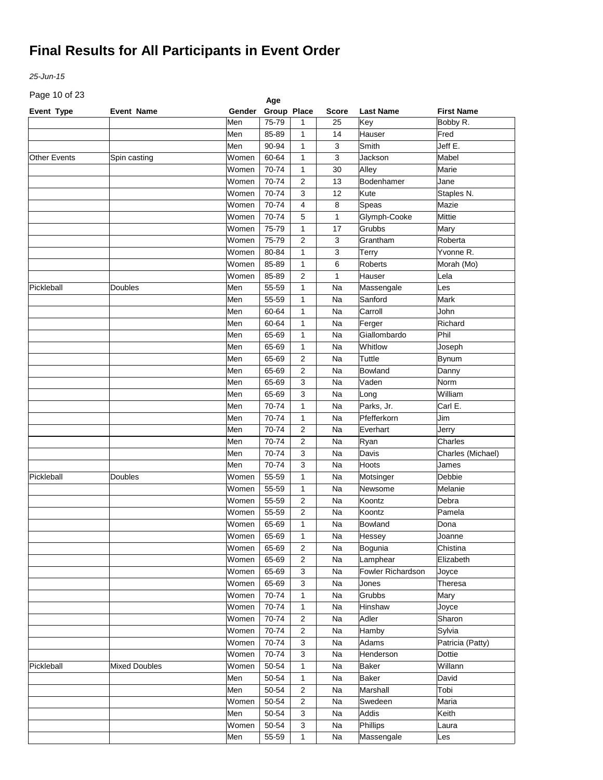*25-Jun-15*

Page 10 of 23

| Page TO OF 23       |                      |        | Age         |                |              |                   |                   |
|---------------------|----------------------|--------|-------------|----------------|--------------|-------------------|-------------------|
| Event Type          | <b>Event Name</b>    | Gender | Group Place |                | <b>Score</b> | <b>Last Name</b>  | <b>First Name</b> |
|                     |                      | Men    | 75-79       | 1              | 25           | Key               | Bobby R.          |
|                     |                      | Men    | 85-89       | 1              | 14           | Hauser            | Fred              |
|                     |                      | Men    | 90-94       | 1              | 3            | Smith             | Jeff E.           |
| <b>Other Events</b> | Spin casting         | Women  | 60-64       | 1              | 3            | Jackson           | Mabel             |
|                     |                      | Women  | 70-74       | 1              | 30           | Alley             | Marie             |
|                     |                      | Women  | 70-74       | 2              | 13           | Bodenhamer        | Jane              |
|                     |                      | Women  | 70-74       | 3              | 12           | Kute              | Staples N.        |
|                     |                      | Women  | 70-74       | 4              | 8            | Speas             | Mazie             |
|                     |                      | Women  | 70-74       | 5              | 1            | Glymph-Cooke      | Mittie            |
|                     |                      | Women  | 75-79       | 1              | 17           | Grubbs            | Mary              |
|                     |                      | Women  | 75-79       | 2              | 3            | Grantham          | Roberta           |
|                     |                      | Women  | 80-84       | 1              | 3            | <b>Terry</b>      | Yvonne R.         |
|                     |                      | Women  | 85-89       | 1              | 6            | Roberts           | Morah (Mo)        |
|                     |                      | Women  | 85-89       | 2              | 1            | Hauser            | Lela              |
| Pickleball          | Doubles              | Men    | 55-59       | 1              | Na           | Massengale        | Les               |
|                     |                      | Men    | 55-59       | 1              | Na           | Sanford           | Mark              |
|                     |                      | Men    | 60-64       | 1              | Na           | Carroll           | John              |
|                     |                      | Men    | 60-64       | $\mathbf{1}$   | Na           | Ferger            | Richard           |
|                     |                      | Men    | 65-69       | 1              | Na           | Giallombardo      | Phil              |
|                     |                      | Men    | 65-69       | 1              | Na           | Whitlow           | Joseph            |
|                     |                      | Men    | 65-69       | 2              | Na           | Tuttle            | <b>Bynum</b>      |
|                     |                      | Men    | 65-69       | 2              | Na           | Bowland           | Danny             |
|                     |                      | Men    | 65-69       | 3              | Na           | Vaden             | Norm              |
|                     |                      | Men    | 65-69       | 3              | Na           | Long              | William           |
|                     |                      | Men    | 70-74       | $\mathbf{1}$   | Na           | Parks, Jr.        | Carl E.           |
|                     |                      | Men    | 70-74       | $\mathbf{1}$   | Na           | Pfefferkorn       | Jim               |
|                     |                      | Men    | 70-74       | 2              | Na           | Everhart          | Jerry             |
|                     |                      | Men    | 70-74       | 2              | Na           | Ryan              | Charles           |
|                     |                      | Men    | 70-74       | 3              | Na           | Davis             | Charles (Michael) |
|                     |                      | Men    | 70-74       | 3              | Na           | Hoots             | James             |
| Pickleball          | Doubles              | Women  | 55-59       | 1              | Na           | Motsinger         | Debbie            |
|                     |                      | Women  | 55-59       | 1              | Na           | Newsome           | Melanie           |
|                     |                      | Women  | 55-59       | 2              | Na           | Koontz            | Debra             |
|                     |                      | Women  | 55-59       | 2              | Na           | Koontz            | Pamela            |
|                     |                      | Women  | 65-69       |                |              |                   |                   |
|                     |                      |        |             | 1              | Na           | <b>Bowland</b>    | Dona              |
|                     |                      | Women  | 65-69       | $\mathbf{1}$   | Na           | Hessey            | Joanne            |
|                     |                      | Women  | 65-69       | $\overline{2}$ | Na           | Bogunia           | Chistina          |
|                     |                      | Women  | 65-69       | $\overline{c}$ | Na           | Lamphear          | Elizabeth         |
|                     |                      | Women  | 65-69       | 3              | Na           | Fowler Richardson | Joyce             |
|                     |                      | Women  | 65-69       | 3              | Na           | Jones             | Theresa           |
|                     |                      | Women  | 70-74       | 1              | Na           | Grubbs            | Mary              |
|                     |                      | Women  | 70-74       | $\mathbf{1}$   | Na           | Hinshaw           | Joyce             |
|                     |                      | Women  | 70-74       | $\overline{c}$ | Na           | Adler             | Sharon            |
|                     |                      | Women  | 70-74       | $\overline{2}$ | Na           | Hamby             | Sylvia            |
|                     |                      | Women  | 70-74       | 3              | Na           | Adams             | Patricia (Patty)  |
|                     |                      | Women  | 70-74       | 3              | Na           | Henderson         | <b>Dottie</b>     |
| Pickleball          | <b>Mixed Doubles</b> | Women  | 50-54       | $\mathbf{1}$   | Na           | Baker             | Willann           |
|                     |                      | Men    | 50-54       | $\mathbf{1}$   | Na           | <b>Baker</b>      | David             |
|                     |                      | Men    | 50-54       | $\overline{c}$ | Na           | Marshall          | Tobi              |
|                     |                      | Women  | 50-54       | $\overline{2}$ | Na           | Swedeen           | Maria             |
|                     |                      | Men    | 50-54       | 3              | Na           | Addis             | Keith             |
|                     |                      | Women  | 50-54       | 3              | Na           | Phillips          | Laura             |
|                     |                      | Men    | 55-59       | $\mathbf{1}$   | Na           | Massengale        | Les               |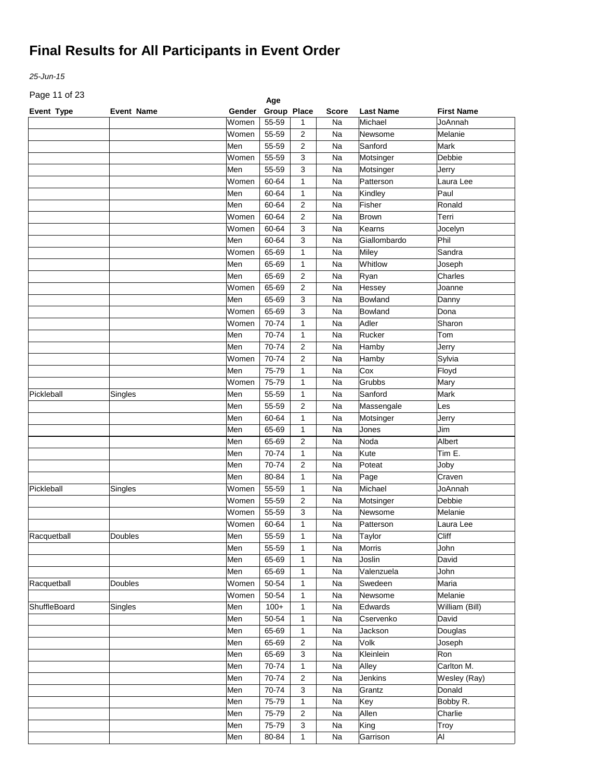*25-Jun-15*

Page 11 of 23

| Page 11 or 23<br>Age |                   |        |             |                              |              |                  |                   |  |
|----------------------|-------------------|--------|-------------|------------------------------|--------------|------------------|-------------------|--|
| Event Type           | <b>Event Name</b> | Gender | Group Place |                              | <b>Score</b> | <b>Last Name</b> | <b>First Name</b> |  |
|                      |                   | Women  | 55-59       | $\mathbf{1}$                 | Na           | Michael          | JoAnnah           |  |
|                      |                   | Women  | 55-59       | 2                            | Na           | Newsome          | Melanie           |  |
|                      |                   | Men    | 55-59       | $\overline{2}$               | Na           | Sanford          | Mark              |  |
|                      |                   | Women  | 55-59       | 3                            | Na           | Motsinger        | Debbie            |  |
|                      |                   | Men    | 55-59       | 3                            | Na           | Motsinger        | Jerry             |  |
|                      |                   | Women  | 60-64       | 1                            | Na           | Patterson        | Laura Lee         |  |
|                      |                   | Men    | 60-64       | 1                            | Na           | Kindley          | Paul              |  |
|                      |                   | Men    | 60-64       | $\overline{2}$               | Na           | Fisher           | Ronald            |  |
|                      |                   | Women  | 60-64       | $\overline{2}$               | Na           | <b>Brown</b>     | Terri             |  |
|                      |                   | Women  | 60-64       | 3                            | Na           | Kearns           | Jocelyn           |  |
|                      |                   | Men    | 60-64       | 3                            | Na           | Giallombardo     | Phil              |  |
|                      |                   | Women  | 65-69       | $\mathbf{1}$                 | Na           | Miley            | Sandra            |  |
|                      |                   | Men    | 65-69       | 1                            | Na           | Whitlow          | Joseph            |  |
|                      |                   | Men    | 65-69       | $\overline{2}$               | Na           | Ryan             | Charles           |  |
|                      |                   | Women  | 65-69       | $\overline{2}$               | Na           | Hessey           | Joanne            |  |
|                      |                   | Men    | 65-69       | 3                            | Na           | Bowland          | Danny             |  |
|                      |                   | Women  | 65-69       | 3                            | Na           | <b>Bowland</b>   | Dona              |  |
|                      |                   | Women  | 70-74       | $\mathbf{1}$                 | Na           | Adler            | Sharon            |  |
|                      |                   | Men    | 70-74       | 1                            | Na           | Rucker           | Tom               |  |
|                      |                   | Men    | 70-74       | $\overline{2}$               | Na           | Hamby            | Jerry             |  |
|                      |                   | Women  | 70-74       | $\overline{2}$               | Na           | Hamby            | Sylvia            |  |
|                      |                   | Men    | 75-79       | 1                            | Na           | Cox              | Floyd             |  |
|                      |                   | Women  | 75-79       | 1                            | Na           | Grubbs           | Mary              |  |
| Pickleball           | Singles           | Men    | 55-59       | $\mathbf{1}$                 | Na           | Sanford          | Mark              |  |
|                      |                   | Men    | 55-59       | $\overline{2}$               | Na           | Massengale       | Les               |  |
|                      |                   | Men    | 60-64       | $\mathbf{1}$                 | Na           | Motsinger        | Jerry             |  |
|                      |                   | Men    | 65-69       | $\mathbf{1}$                 | Na           | Jones            | Jim               |  |
|                      |                   | Men    | 65-69       | $\overline{2}$               | Na           | Noda             | Albert            |  |
|                      |                   | Men    | 70-74       | $\mathbf{1}$                 | Na           | Kute             | Tim E.            |  |
|                      |                   | Men    | 70-74       | $\overline{2}$               | Na           | Poteat           | Joby              |  |
|                      |                   | Men    | 80-84       | $\mathbf{1}$                 | Na           | Page             | Craven            |  |
| Pickleball           | Singles           | Women  | 55-59       | $\mathbf{1}$                 | Na           | Michael          | JoAnnah           |  |
|                      |                   | Women  | 55-59       | $\overline{2}$               | Na           | Motsinger        | Debbie            |  |
|                      |                   | Women  | 55-59       | 3                            | Na           | Newsome          | Melanie           |  |
|                      |                   | Women  | 60-64       | 1                            | Na           | Patterson        | Laura Lee         |  |
| Racquetball          | Doubles           | Men    | 55-59       |                              | Na           | Taylor           | Cliff             |  |
|                      |                   | Men    | 55-59       | $\mathbf{1}$<br>$\mathbf{1}$ | Na           | Morris           | John              |  |
|                      |                   |        |             |                              | Na           | Joslin           | David             |  |
|                      |                   | Men    | 65-69       | $\mathbf{1}$                 | Na           |                  |                   |  |
|                      |                   | Men    | 65-69       | $\mathbf{1}$                 |              | Valenzuela       | John              |  |
| Racquetball          | <b>Doubles</b>    | Women  | 50-54       | $\mathbf{1}$                 | Na           | Swedeen          | Maria             |  |
|                      |                   | Women  | 50-54       | $\mathbf{1}$                 | Na           | Newsome          | Melanie           |  |
| ShuffleBoard         | Singles           | Men    | $100+$      | $\mathbf{1}$                 | Na           | Edwards          | William (Bill)    |  |
|                      |                   | Men    | 50-54       | $\mathbf{1}$                 | Na           | Cservenko        | David             |  |
|                      |                   | Men    | 65-69       | $\mathbf{1}$                 | Na           | Jackson          | Douglas           |  |
|                      |                   | Men    | 65-69       | 2                            | Na           | Volk             | Joseph            |  |
|                      |                   | Men    | 65-69       | 3                            | Na           | Kleinlein        | Ron               |  |
|                      |                   | Men    | 70-74       | $\mathbf{1}$                 | Na           | Alley            | Carlton M.        |  |
|                      |                   | Men    | 70-74       | 2                            | Na           | Jenkins          | Wesley (Ray)      |  |
|                      |                   | Men    | 70-74       | 3                            | Na           | Grantz           | Donald            |  |
|                      |                   | Men    | 75-79       | $\mathbf{1}$                 | Na           | Key              | Bobby R.          |  |
|                      |                   | Men    | 75-79       | $\overline{2}$               | Na           | Allen            | Charlie           |  |
|                      |                   | Men    | 75-79       | 3                            | Na           | King             | Troy              |  |
|                      |                   | Men    | 80-84       | $\mathbf{1}$                 | Na           | Garrison         | Al                |  |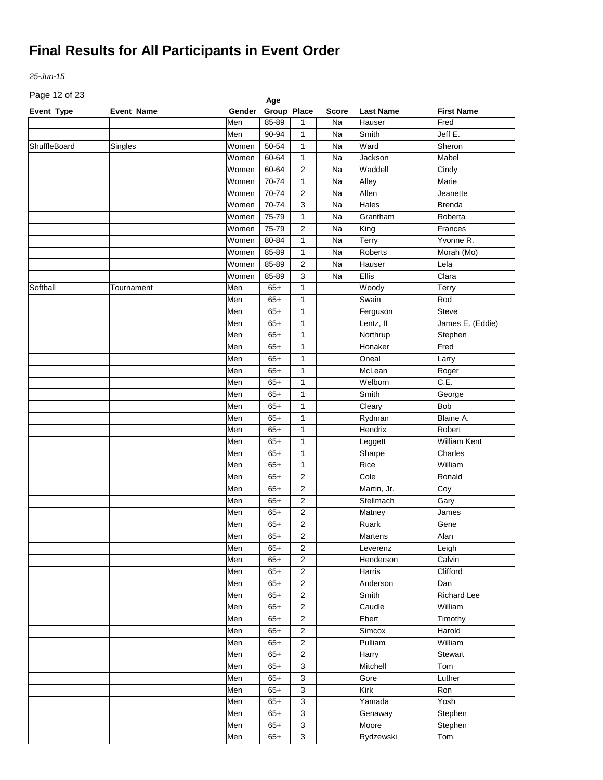*25-Jun-15*

Page 12 of 23

| Page 12 or 23 |                   |               | Age         |                         |              |                     |                     |
|---------------|-------------------|---------------|-------------|-------------------------|--------------|---------------------|---------------------|
| Event Type    | <b>Event Name</b> | <b>Gender</b> | Group Place |                         | <b>Score</b> | <b>Last Name</b>    | <b>First Name</b>   |
|               |                   | Men           | 85-89       | 1                       | Na           | Hauser              | Fred                |
|               |                   | Men           | 90-94       | 1                       | Na           | Smith               | Jeff E.             |
| ShuffleBoard  | Singles           | Women         | 50-54       | 1                       | Na           | Ward                | Sheron              |
|               |                   | Women         | 60-64       | $\mathbf{1}$            | Na           | Jackson             | Mabel               |
|               |                   | Women         | 60-64       | $\overline{2}$          | Na           | Waddell             | Cindy               |
|               |                   | Women         | 70-74       | $\mathbf{1}$            | Na           | Alley               | Marie               |
|               |                   | Women         | 70-74       | $\overline{\mathbf{c}}$ | Na           | Allen               | Jeanette            |
|               |                   | Women         | 70-74       | 3                       | Na           | Hales               | <b>Brenda</b>       |
|               |                   | Women         | 75-79       | $\mathbf{1}$            | Na           | Grantham            | Roberta             |
|               |                   | Women         | 75-79       | $\overline{2}$          | Na           | King                | Frances             |
|               |                   | Women         | 80-84       | $\mathbf{1}$            | Na           | Terry               | Yvonne R.           |
|               |                   | Women         | 85-89       | $\mathbf{1}$            | Na           | Roberts             | Morah (Mo)          |
|               |                   | Women         | 85-89       | $\overline{2}$          | Na           | Hauser              | Lela                |
|               |                   | Women         | 85-89       | 3                       | Na           | Ellis               | Clara               |
| Softball      | Tournament        | Men           | $65+$       | 1                       |              | Woody               | Terry               |
|               |                   | Men           | $65+$       | 1                       |              | Swain               | Rod                 |
|               |                   | Men           | $65+$       | 1                       |              | Ferguson            | <b>Steve</b>        |
|               |                   | Men           | $65+$       | $\mathbf{1}$            |              | Lentz, II           | James E. (Eddie)    |
|               |                   | Men           | $65+$       | 1                       |              | Northrup            | Stephen             |
|               |                   | Men           | $65+$       | $\mathbf{1}$            |              | Honaker             | Fred                |
|               |                   | Men           | $65+$       | 1                       |              | Oneal               | Larry               |
|               |                   | Men           | $65+$       | $\mathbf{1}$            |              | McLean              | Roger               |
|               |                   | Men           | $65+$       | $\mathbf{1}$            |              | Welborn             | C.E.                |
|               |                   | Men           | $65+$       | $\mathbf{1}$            |              | Smith               | George              |
|               |                   | Men           | $65+$       | $\mathbf{1}$            |              | Cleary              | <b>Bob</b>          |
|               |                   | Men           | $65+$       | 1                       |              | Rydman              | Blaine A.           |
|               |                   | Men           | $65+$       | 1                       |              | Hendrix             | Robert              |
|               |                   | Men           | $65+$       | $\mathbf{1}$            |              | Leggett             | <b>William Kent</b> |
|               |                   | Men           | $65+$       | $\mathbf{1}$            |              | Sharpe              | Charles             |
|               |                   | Men           | $65+$       | $\mathbf{1}$            |              | Rice                | William             |
|               |                   | Men           | $65+$       | $\overline{2}$          |              | Cole                | Ronald              |
|               |                   | Men           | $65+$       | $\overline{2}$          |              | Martin, Jr.         | Coy                 |
|               |                   | Men           | $65+$       | $\overline{2}$          |              | Stellmach           | Gary                |
|               |                   | Men           | $65+$       | $\overline{2}$          |              | Matney              | James               |
|               |                   | Men           | $65+$       | $\overline{2}$          |              | Ruark               | Gene                |
|               |                   | Men           | $65+$       | $\overline{c}$          |              | Martens             | Alan                |
|               |                   |               |             | 2                       |              |                     |                     |
|               |                   | Men<br>Men    | $65+$       | $\overline{c}$          |              | Leverenz            | Leigh<br>Calvin     |
|               |                   |               | $65+$       | $\mathbf 2$             |              | Henderson<br>Harris | Clifford            |
|               |                   | Men           | $65+$       | $\mathbf 2$             |              |                     | Dan                 |
|               |                   | Men           | $65+$       |                         |              | Anderson            |                     |
|               |                   | Men           | $65+$       | $\overline{c}$          |              | Smith               | <b>Richard Lee</b>  |
|               |                   | Men           | $65+$       | $\overline{c}$          |              | Caudle              | William             |
|               |                   | Men           | $65+$       | $\overline{c}$          |              | Ebert               | Timothy             |
|               |                   | Men           | $65+$       | $\sqrt{2}$              |              | Simcox              | Harold              |
|               |                   | Men           | $65+$       | $\sqrt{2}$              |              | Pulliam             | William             |
|               |                   | Men           | $65+$       | $\mathbf 2$             |              | Harry               | Stewart             |
|               |                   | Men           | $65+$       | 3                       |              | Mitchell            | Tom                 |
|               |                   | Men           | $65+$       | 3                       |              | Gore                | Luther              |
|               |                   | Men           | $65+$       | 3                       |              | Kirk                | Ron                 |
|               |                   | Men           | $65+$       | 3                       |              | Yamada              | Yosh                |
|               |                   | Men           | $65+$       | 3                       |              | Genaway             | Stephen             |
|               |                   | Men           | $65+$       | $\mathbf{3}$            |              | Moore               | Stephen             |
|               |                   | Men           | $65+$       | 3                       |              | Rydzewski           | Tom                 |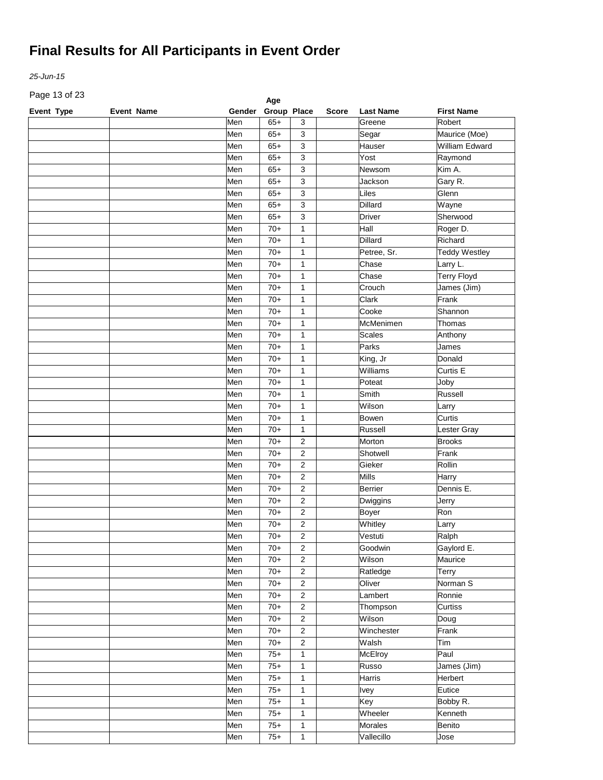*25-Jun-15*

Page 13 of 23

| Page 13 or 23 |                   |        | Age         |                         |              |                  |                      |
|---------------|-------------------|--------|-------------|-------------------------|--------------|------------------|----------------------|
| Event Type    | <b>Event Name</b> | Gender | Group Place |                         | <b>Score</b> | <b>Last Name</b> | <b>First Name</b>    |
|               |                   | Men    | $65+$       | 3                       |              | Greene           | Robert               |
|               |                   | Men    | $65+$       | 3                       |              | Segar            | Maurice (Moe)        |
|               |                   | Men    | $65+$       | 3                       |              | Hauser           | William Edward       |
|               |                   | Men    | $65+$       | 3                       |              | Yost             | Raymond              |
|               |                   | Men    | $65+$       | 3                       |              | Newsom           | Kim A.               |
|               |                   | Men    | $65+$       | 3                       |              | Jackson          | Gary R.              |
|               |                   | Men    | $65+$       | 3                       |              | Liles            | Glenn                |
|               |                   | Men    | $65+$       | 3                       |              | <b>Dillard</b>   | Wayne                |
|               |                   | Men    | $65+$       | 3                       |              | <b>Driver</b>    | Sherwood             |
|               |                   | Men    | $70+$       | $\mathbf{1}$            |              | Hall             | Roger D.             |
|               |                   | Men    | $70+$       | $\mathbf{1}$            |              | Dillard          | Richard              |
|               |                   | Men    | $70+$       | $\mathbf{1}$            |              | Petree, Sr.      | <b>Teddy Westley</b> |
|               |                   | Men    | $70+$       | $\mathbf{1}$            |              | Chase            | Larry L.             |
|               |                   | Men    | $70+$       | $\mathbf{1}$            |              | Chase            | <b>Terry Floyd</b>   |
|               |                   | Men    | $70+$       | $\mathbf{1}$            |              | Crouch           | James (Jim)          |
|               |                   | Men    | $70+$       | $\mathbf{1}$            |              | Clark            | Frank                |
|               |                   | Men    | $70+$       | $\mathbf{1}$            |              | Cooke            | Shannon              |
|               |                   | Men    | $70+$       | $\mathbf{1}$            |              | McMenimen        | Thomas               |
|               |                   | Men    | $70+$       | $\mathbf{1}$            |              | <b>Scales</b>    | Anthony              |
|               |                   | Men    | $70+$       | $\mathbf{1}$            |              | Parks            | James                |
|               |                   | Men    | $70+$       | $\mathbf{1}$            |              | King, Jr         | Donald               |
|               |                   | Men    | $70+$       | $\mathbf{1}$            |              | Williams         | Curtis E             |
|               |                   | Men    | $70+$       | $\mathbf{1}$            |              | Poteat           | Joby                 |
|               |                   | Men    | $70+$       | $\mathbf{1}$            |              | Smith            | Russell              |
|               |                   |        |             |                         |              |                  |                      |
|               |                   | Men    | $70+$       | $\mathbf{1}$            |              | Wilson           | Larry                |
|               |                   | Men    | $70+$       | $\mathbf{1}$            |              | Bowen            | Curtis               |
|               |                   | Men    | $70+$       | $\mathbf{1}$            |              | Russell          | Lester Gray          |
|               |                   | Men    | $70+$       | $\overline{2}$          |              | Morton           | <b>Brooks</b>        |
|               |                   | Men    | $70+$       | $\overline{2}$          |              | Shotwell         | Frank                |
|               |                   | Men    | $70+$       | $\overline{\mathbf{c}}$ |              | Gieker           | Rollin               |
|               |                   | Men    | $70+$       | $\overline{\mathbf{c}}$ |              | Mills            | Harry                |
|               |                   | Men    | $70+$       | $\overline{\mathbf{c}}$ |              | <b>Berrier</b>   | Dennis E.            |
|               |                   | Men    | $70+$       | $\overline{\mathbf{c}}$ |              | Dwiggins         | Jerry                |
|               |                   | Men    | $70+$       | $\overline{\mathbf{c}}$ |              | Boyer            | Ron                  |
|               |                   | Men    | $70+$       | $\overline{\mathbf{c}}$ |              | Whitley          | Larry                |
|               |                   | Men    | $70+$       | $\overline{\mathbf{c}}$ |              | Vestuti          | Ralph                |
|               |                   | Men    | $70+$       | $\overline{2}$          |              | Goodwin          | Gaylord E.           |
|               |                   | Men    | $70+$       | $\overline{c}$          |              | Wilson           | Maurice              |
|               |                   | Men    | $70+$       | $\sqrt{2}$              |              | Ratledge         | Terry                |
|               |                   | Men    | $70+$       | $\mathbf 2$             |              | Oliver           | Norman S             |
|               |                   | Men    | $70+$       | $\overline{c}$          |              | Lambert          | Ronnie               |
|               |                   | Men    | $70+$       | $\overline{c}$          |              | Thompson         | Curtiss              |
|               |                   | Men    | $70+$       | $\overline{c}$          |              | Wilson           | Doug                 |
|               |                   | Men    | $70+$       | $\overline{c}$          |              | Winchester       | Frank                |
|               |                   | Men    | $70+$       | $\mathbf 2$             |              | Walsh            | Tim                  |
|               |                   | Men    | $75+$       | $\mathbf{1}$            |              | McElroy          | Paul                 |
|               |                   | Men    | $75+$       | $\mathbf{1}$            |              | Russo            | James (Jim)          |
|               |                   | Men    | $75+$       | $\mathbf{1}$            |              | Harris           | Herbert              |
|               |                   | Men    | $75+$       | $\mathbf{1}$            |              | <b>Ivey</b>      | Eutice               |
|               |                   |        |             |                         |              |                  | Bobby R.             |
|               |                   | Men    | $75+$       | $\mathbf{1}$            |              | Key              |                      |
|               |                   | Men    | $75+$       | $\mathbf{1}$            |              | Wheeler          | Kenneth              |
|               |                   | Men    | $75+$       | $\mathbf{1}$            |              | Morales          | Benito               |
|               |                   | Men    | $75+$       | $\mathbf{1}$            |              | Vallecillo       | Jose                 |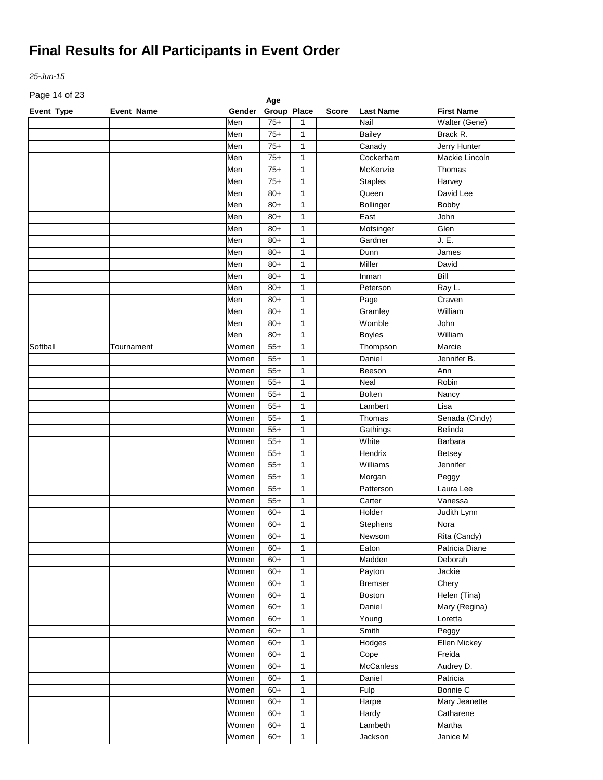*25-Jun-15*

Page 14 of 23

| Page 14 or 23 |                   |        | Age         |              |              |                  |                   |
|---------------|-------------------|--------|-------------|--------------|--------------|------------------|-------------------|
| Event Type    | <b>Event Name</b> | Gender | Group Place |              | <b>Score</b> | <b>Last Name</b> | <b>First Name</b> |
|               |                   | Men    | $75+$       | 1            |              | Nail             | Walter (Gene)     |
|               |                   | Men    | $75+$       | 1            |              | <b>Bailey</b>    | Brack R.          |
|               |                   | Men    | $75+$       | 1            |              | Canady           | Jerry Hunter      |
|               |                   | Men    | $75+$       | 1            |              | Cockerham        | Mackie Lincoln    |
|               |                   | Men    | $75+$       | 1            |              | McKenzie         | Thomas            |
|               |                   | Men    | $75+$       | 1            |              | <b>Staples</b>   | Harvey            |
|               |                   | Men    | $80+$       | 1            |              | Queen            | David Lee         |
|               |                   | Men    | $80+$       | 1            |              | Bollinger        | <b>Bobby</b>      |
|               |                   | Men    | $80+$       | $\mathbf{1}$ |              | East             | John              |
|               |                   | Men    | $80+$       | $\mathbf{1}$ |              | Motsinger        | Glen              |
|               |                   | Men    | $80+$       | $\mathbf{1}$ |              | Gardner          | J. E.             |
|               |                   | Men    | $80+$       | $\mathbf{1}$ |              | Dunn             | James             |
|               |                   | Men    | $80+$       | $\mathbf{1}$ |              | Miller           | David             |
|               |                   | Men    | $80+$       | $\mathbf{1}$ |              | Inman            | Bill              |
|               |                   | Men    | $80+$       | $\mathbf{1}$ |              | Peterson         | Ray L.            |
|               |                   | Men    | $80+$       | $\mathbf{1}$ |              | Page             | Craven            |
|               |                   | Men    | $80+$       | $\mathbf{1}$ |              | Gramley          | William           |
|               |                   | Men    | $80+$       | $\mathbf{1}$ |              | Womble           | John              |
|               |                   | Men    | $80+$       | 1            |              | <b>Boyles</b>    | William           |
| Softball      | Tournament        | Women  | $55+$       | $\mathbf{1}$ |              | Thompson         | Marcie            |
|               |                   | Women  | $55+$       | 1            |              | Daniel           | Jennifer B.       |
|               |                   | Women  | $55+$       | $\mathbf{1}$ |              | Beeson           | Ann               |
|               |                   | Women  | $55+$       | $\mathbf{1}$ |              | Neal             | Robin             |
|               |                   | Women  | $55+$       | $\mathbf{1}$ |              | <b>Bolten</b>    | Nancy             |
|               |                   | Women  | $55+$       | 1            |              | Lambert          | Lisa              |
|               |                   | Women  | $55+$       | 1            |              | Thomas           | Senada (Cindy)    |
|               |                   | Women  | $55+$       | 1            |              | Gathings         | <b>Belinda</b>    |
|               |                   | Women  | $55+$       | 1            |              | White            | Barbara           |
|               |                   | Women  | $55+$       | $\mathbf{1}$ |              | Hendrix          | Betsey            |
|               |                   | Women  | $55+$       | $\mathbf{1}$ |              | Williams         | Jennifer          |
|               |                   | Women  | $55+$       | $\mathbf{1}$ |              | Morgan           | Peggy             |
|               |                   | Women  | $55+$       | $\mathbf{1}$ |              | Patterson        | Laura Lee         |
|               |                   | Women  | $55+$       | $\mathbf{1}$ |              | Carter           | Vanessa           |
|               |                   | Women  | $60+$       | $\mathbf{1}$ |              | Holder           | Judith Lynn       |
|               |                   | Women  | $60+$       | $\mathbf{1}$ |              | Stephens         | Nora              |
|               |                   | Women  | $60+$       | $\mathbf{1}$ |              | Newsom           | Rita (Candy)      |
|               |                   | Women  | $60+$       | $\mathbf{1}$ |              | Eaton            | Patricia Diane    |
|               |                   | Women  | $60+$       | $\mathbf{1}$ |              | Madden           | Deborah           |
|               |                   | Women  | $60+$       | $\mathbf{1}$ |              | Payton           | Jackie            |
|               |                   | Women  | $60+$       | $\mathbf{1}$ |              | <b>Bremser</b>   | Chery             |
|               |                   | Women  | $60+$       | $\mathbf{1}$ |              | Boston           | Helen (Tina)      |
|               |                   | Women  | $60+$       | $\mathbf{1}$ |              | Daniel           | Mary (Regina)     |
|               |                   | Women  | $60+$       | $\mathbf{1}$ |              | Young            | Loretta           |
|               |                   | Women  | $60+$       | $\mathbf{1}$ |              | Smith            | Peggy             |
|               |                   | Women  | $60+$       | $\mathbf{1}$ |              | Hodges           | Ellen Mickey      |
|               |                   | Women  | $60+$       | $\mathbf{1}$ |              | Cope             | Freida            |
|               |                   |        |             |              |              |                  |                   |
|               |                   | Women  | $60+$       | $\mathbf{1}$ |              | <b>McCanless</b> | Audrey D.         |
|               |                   | Women  | $60+$       | $\mathbf{1}$ |              | Daniel           | Patricia          |
|               |                   | Women  | $60+$       | $\mathbf{1}$ |              | Fulp             | Bonnie C          |
|               |                   | Women  | $60+$       | $\mathbf{1}$ |              | Harpe            | Mary Jeanette     |
|               |                   | Women  | $60+$       | $\mathbf{1}$ |              | Hardy            | Catharene         |
|               |                   | Women  | $60+$       | $\mathbf{1}$ |              | Lambeth          | Martha            |
|               |                   | Women  | $60+$       | $\mathbf{1}$ |              | Jackson          | Janice M          |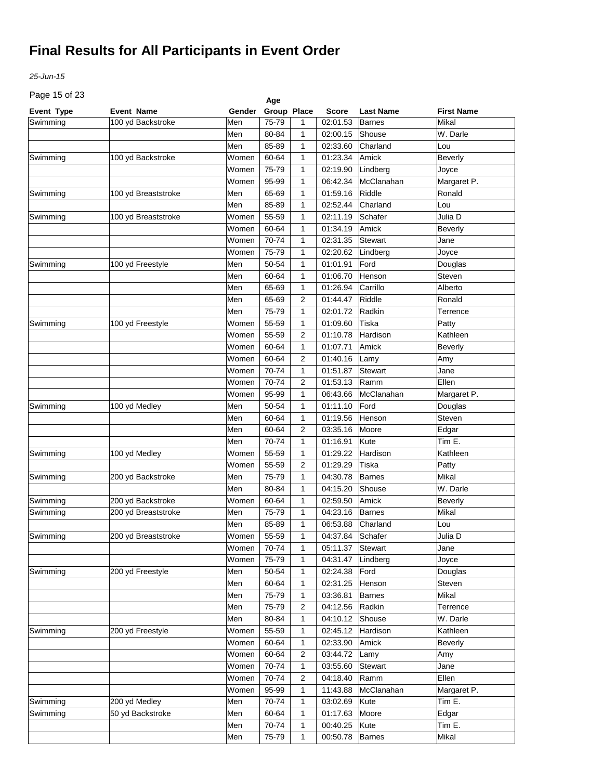*25-Jun-15*

Page 15 of 23

| Page 15 or 23        |                     |        | Age         |              |              |                     |                  |
|----------------------|---------------------|--------|-------------|--------------|--------------|---------------------|------------------|
| <b>Event Type</b>    | <b>Event Name</b>   | Gender | Group Place |              | <b>Score</b> | <b>Last Name</b>    | First Name       |
| Swimming             | 100 yd Backstroke   | Men    | 75-79       | 1            | 02:01.53     | <b>Barnes</b>       | Mikal            |
|                      |                     | Men    | 80-84       | 1            | 02:00.15     | Shouse              | W. Darle         |
|                      |                     | Men    | 85-89       | 1            | 02:33.60     | Charland            | Lou              |
| Swimming             | 100 yd Backstroke   | Women  | 60-64       | 1            | 01:23.34     | Amick               | <b>Beverly</b>   |
|                      |                     | Women  | 75-79       | 1            | 02:19.90     | Lindberg            | Joyce            |
|                      |                     | Women  | 95-99       | 1            | 06:42.34     | McClanahan          | Margaret P.      |
| Swimming             | 100 yd Breaststroke | Men    | 65-69       | 1            | 01:59.16     | Riddle              | Ronald           |
|                      |                     | Men    | 85-89       | 1            | 02:52.44     | Charland            | Lou              |
| Swimming             | 100 yd Breaststroke | Women  | 55-59       | 1            | 02:11.19     | Schafer             | Julia D          |
|                      |                     | Women  | 60-64       | 1            | 01:34.19     | Amick               | Beverly          |
|                      |                     | Women  | 70-74       | 1            | 02:31.35     | Stewart             | Jane             |
|                      |                     | Women  | 75-79       | 1            | 02:20.62     | Lindberg            | Joyce            |
| Swimming             | 100 yd Freestyle    | Men    | 50-54       | 1            | 01:01.91     | Ford                | Douglas          |
|                      |                     | Men    | 60-64       | 1            | 01:06.70     | Henson              | Steven           |
|                      |                     | Men    | 65-69       | 1            | 01:26.94     | Carrillo            | Alberto          |
|                      |                     | Men    | 65-69       | 2            | 01:44.47     | Riddle              | Ronald           |
|                      |                     | Men    | 75-79       | 1            | 02:01.72     | Radkin              | Terrence         |
| Swimming             | 100 yd Freestyle    | Women  | 55-59       | 1            | 01:09.60     | Tiska               | Patty            |
|                      |                     | Women  | 55-59       | 2            | 01:10.78     | Hardison            | Kathleen         |
|                      |                     | Women  | 60-64       | 1            | 01:07.71     | Amick               | <b>Beverly</b>   |
|                      |                     | Women  | 60-64       | 2            | 01:40.16     | Lamy                | Amy              |
|                      |                     | Women  | 70-74       | 1            | 01:51.87     | Stewart             | Jane             |
|                      |                     | Women  | 70-74       | 2            | 01:53.13     | Ramm                | Ellen            |
|                      |                     | Women  | 95-99       | 1            | 06:43.66     | McClanahan          | Margaret P.      |
| Swimming             | 100 yd Medley       | Men    | 50-54       | 1            | 01:11.10     | Ford                | Douglas          |
|                      |                     | Men    | 60-64       | 1            | 01:19.56     | Henson              | Steven           |
|                      |                     | Men    | 60-64       | 2            | 03:35.16     | Moore               | Edgar            |
|                      |                     | Men    | 70-74       | 1            | 01:16.91     | Kute                | Tim E.           |
| Swimming             | 100 yd Medley       | Women  | 55-59       | 1            | 01:29.22     | Hardison            | Kathleen         |
|                      |                     | Women  | 55-59       | 2            | 01:29.29     | Tiska               | Patty            |
|                      |                     | Men    | 75-79       | 1            | 04:30.78     | <b>Barnes</b>       | Mikal            |
| Swimming             | 200 yd Backstroke   | Men    | 80-84       | 1            | 04:15.20     | Shouse              | W. Darle         |
|                      | 200 yd Backstroke   | Women  | 60-64       | 1            | 02:59.50     | Amick               |                  |
| Swimming<br>Swimming |                     | Men    | 75-79       | 1            |              | <b>Barnes</b>       | Beverly<br>Mikal |
|                      | 200 yd Breaststroke |        | 85-89       |              | 04:23.16     |                     |                  |
|                      |                     | Men    |             | 1            | 06:53.88     | Charland<br>Schafer | Lou              |
| Swimming             | 200 yd Breaststroke | Women  | 55-59       | $\mathbf{1}$ | 04:37.84     |                     | Julia D          |
|                      |                     | Women  | 70-74       | 1            | 05:11.37     | Stewart             | Jane             |
|                      |                     | Women  | 75-79       | 1            | 04:31.47     | Lindberg            | Joyce            |
| Swimming             | 200 yd Freestyle    | Men    | 50-54       | 1            | 02:24.38     | Ford                | Douglas          |
|                      |                     | Men    | 60-64       | 1            | 02:31.25     | Henson              | Steven           |
|                      |                     | Men    | 75-79       | 1            | 03:36.81     | <b>Barnes</b>       | Mikal            |
|                      |                     | Men    | 75-79       | 2            | 04:12.56     | Radkin              | Terrence         |
|                      |                     | Men    | 80-84       | 1            | 04:10.12     | Shouse              | W. Darle         |
| Swimming             | 200 yd Freestyle    | Women  | 55-59       | 1            | 02:45.12     | Hardison            | Kathleen         |
|                      |                     | Women  | 60-64       | 1            | 02:33.90     | Amick               | <b>Beverly</b>   |
|                      |                     | Women  | 60-64       | 2            | 03:44.72     | Lamy                | Amy              |
|                      |                     | Women  | 70-74       | 1            | 03:55.60     | <b>Stewart</b>      | Jane             |
|                      |                     | Women  | 70-74       | 2            | 04:18.40     | Ramm                | Ellen            |
|                      |                     | Women  | 95-99       | 1            | 11:43.88     | McClanahan          | Margaret P.      |
| Swimming             | 200 yd Medley       | Men    | 70-74       | 1            | 03:02.69     | Kute                | Tim E.           |
| Swimming             | 50 yd Backstroke    | Men    | 60-64       | 1            | 01:17.63     | Moore               | Edgar            |
|                      |                     | Men    | 70-74       | 1            | 00:40.25     | Kute                | Tim E.           |
|                      |                     | Men    | 75-79       | 1            | 00:50.78     | <b>Barnes</b>       | Mikal            |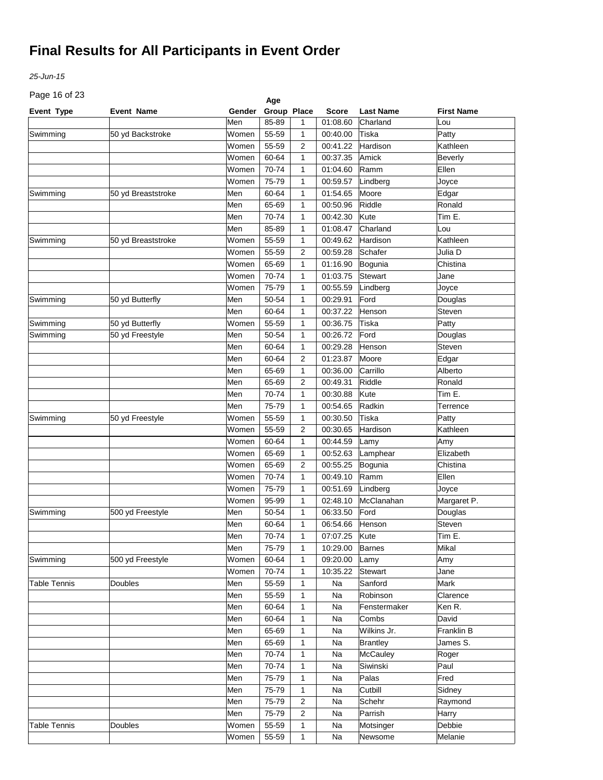*25-Jun-15*

Page 16 of 23

| Page 16 or 23       |                    |        | Age         |                |               |                  |                   |
|---------------------|--------------------|--------|-------------|----------------|---------------|------------------|-------------------|
| <b>Event Type</b>   | <b>Event Name</b>  | Gender | Group Place |                | <b>Score</b>  | <b>Last Name</b> | <b>First Name</b> |
|                     |                    | Men    | 85-89       | 1              | 01:08.60      | Charland         | Lou               |
| Swimming            | 50 yd Backstroke   | Women  | 55-59       | 1              | 00:40.00      | Tiska            | Patty             |
|                     |                    | Women  | 55-59       | $\overline{2}$ | 00:41.22      | Hardison         | Kathleen          |
|                     |                    | Women  | 60-64       | 1              | 00:37.35      | Amick            | <b>Beverly</b>    |
|                     |                    | Women  | 70-74       | 1              | 01:04.60      | Ramm             | Ellen             |
|                     |                    | Women  | 75-79       | 1              | 00:59.57      | Lindberg         | Joyce             |
| Swimming            | 50 yd Breaststroke | Men    | 60-64       | 1              | 01:54.65      | Moore            | Edgar             |
|                     |                    | Men    | 65-69       | 1              | 00:50.96      | Riddle           | Ronald            |
|                     |                    | Men    | 70-74       | 1              | 00:42.30      | Kute             | Tim E.            |
|                     |                    | Men    | 85-89       | 1              | 01:08.47      | Charland         | Lou               |
| Swimming            | 50 yd Breaststroke | Women  | 55-59       | 1              | 00:49.62      | Hardison         | Kathleen          |
|                     |                    | Women  | 55-59       | 2              | 00:59.28      | Schafer          | Julia D           |
|                     |                    | Women  | 65-69       | 1              | 01:16.90      | Bogunia          | Chistina          |
|                     |                    | Women  | 70-74       | 1              | 01:03.75      | Stewart          | Jane              |
|                     |                    | Women  | 75-79       | 1              | 00:55.59      | Lindberg         | Joyce             |
| Swimming            | 50 yd Butterfly    | Men    | 50-54       | 1              | 00:29.91      | Ford             | Douglas           |
|                     |                    | Men    | 60-64       | 1              | 00:37.22      | Henson           | Steven            |
| Swimming            | 50 yd Butterfly    | Women  | 55-59       | 1              | 00:36.75      | Tiska            | Patty             |
| Swimming            | 50 yd Freestyle    | Men    | 50-54       | 1              | 00:26.72      | Ford             | Douglas           |
|                     |                    | Men    | 60-64       | 1              | 00:29.28      | Henson           | Steven            |
|                     |                    | Men    | 60-64       | 2              | 01:23.87      | Moore            | Edgar             |
|                     |                    | Men    | 65-69       | 1              | 00:36.00      | Carrillo         | Alberto           |
|                     |                    | Men    | 65-69       | $\overline{2}$ | 00:49.31      | Riddle           | Ronald            |
|                     |                    | Men    | 70-74       | 1              | 00:30.88      | Kute             | Tim E.            |
|                     |                    | Men    | 75-79       | 1              | 00:54.65      | Radkin           | Terrence          |
| Swimming            | 50 yd Freestyle    | Women  | 55-59       | 1              | 00:30.50      | Tiska            | Patty             |
|                     |                    | Women  | 55-59       | $\overline{2}$ | 00:30.65      | Hardison         | Kathleen          |
|                     |                    | Women  | 60-64       | 1              | 00:44.59      |                  | Amy               |
|                     |                    | Women  | 65-69       | 1              | 00:52.63      | Lamy             | Elizabeth         |
|                     |                    | Women  | 65-69       |                | 00:55.25      | Lamphear         | Chistina          |
|                     |                    | Women  | 70-74       | 2              | 00:49.10      | Bogunia          | Ellen             |
|                     |                    |        |             | 1              |               | Ramm             |                   |
|                     |                    | Women  | 75-79       | 1              | 00:51.69      | Lindberg         | Joyce             |
|                     |                    | Women  | 95-99       | 1              | 02:48.10      | McClanahan       | Margaret P.       |
| Swimming            | 500 yd Freestyle   | Men    | 50-54       | 1              | 06:33.50      | Ford             | Douglas           |
|                     |                    | Men    | 60-64       | $\mathbf{1}$   | 06:54.66      | Henson           | Steven            |
|                     |                    | Men    | 70-74       | $\mathbf{1}$   | 07:07.25 Kute |                  | Tim E.            |
|                     |                    | Men    | 75-79       | $\mathbf{1}$   | 10:29.00      | <b>Barnes</b>    | Mikal             |
| Swimming            | 500 yd Freestyle   | Women  | 60-64       | 1              | 09:20.00      | Lamy             | Amy               |
|                     |                    | Women  | 70-74       | 1              | 10:35.22      | <b>Stewart</b>   | Jane              |
| <b>Table Tennis</b> | <b>Doubles</b>     | Men    | 55-59       | 1              | Na            | Sanford          | Mark              |
|                     |                    | Men    | 55-59       | 1              | Na            | Robinson         | Clarence          |
|                     |                    | Men    | 60-64       | 1              | Na            | Fenstermaker     | Ken R.            |
|                     |                    | Men    | 60-64       | 1              | Na            | Combs            | David             |
|                     |                    | Men    | 65-69       | 1              | Na            | Wilkins Jr.      | Franklin B        |
|                     |                    | Men    | 65-69       | 1              | Na            | <b>Brantley</b>  | James S.          |
|                     |                    | Men    | 70-74       | 1              | Na            | <b>McCauley</b>  | Roger             |
|                     |                    | Men    | 70-74       | 1              | Na            | Siwinski         | Paul              |
|                     |                    | Men    | 75-79       | 1              | Na            | Palas            | Fred              |
|                     |                    | Men    | 75-79       | 1              | Na            | Cutbill          | Sidney            |
|                     |                    | Men    | 75-79       | 2              | Na            | Schehr           | Raymond           |
|                     |                    | Men    | 75-79       | 2              | Na            | Parrish          | Harry             |
| <b>Table Tennis</b> | <b>Doubles</b>     | Women  | 55-59       | 1              | Na            | Motsinger        | Debbie            |
|                     |                    | Women  | 55-59       | 1              | Na            | Newsome          | Melanie           |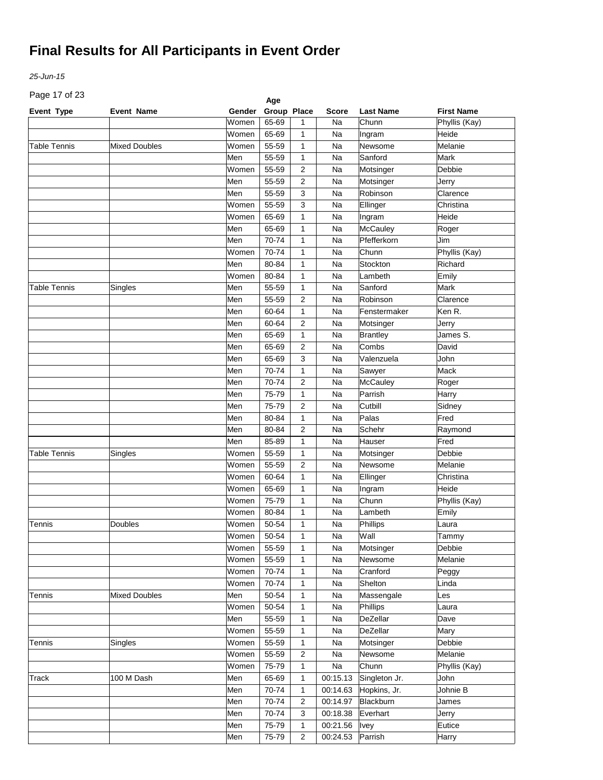*25-Jun-15*

Page 17 of 23

| Page 17 or 23       |                      |             | Age         |              |              |                  |                   |
|---------------------|----------------------|-------------|-------------|--------------|--------------|------------------|-------------------|
| Event Type          | <b>Event Name</b>    | Gender      | Group Place |              | <b>Score</b> | <b>Last Name</b> | <b>First Name</b> |
|                     |                      | Women       | 65-69       | 1            | Na           | Chunn            | Phyllis (Kay)     |
|                     |                      | Women       | 65-69       | 1            | Na           | Ingram           | Heide             |
| <b>Table Tennis</b> | <b>Mixed Doubles</b> | Women       | 55-59       | 1            | Na           | Newsome          | Melanie           |
|                     |                      | Men         | 55-59       | 1            | Na           | Sanford          | Mark              |
|                     |                      | Women       | 55-59       | 2            | Na           | Motsinger        | Debbie            |
|                     |                      | Men         | 55-59       | 2            | Na           | Motsinger        | Jerry             |
|                     |                      | Men         | 55-59       | 3            | Na           | Robinson         | Clarence          |
|                     |                      | Women       | 55-59       | 3            | Na           | Ellinger         | Christina         |
|                     |                      | Women       | 65-69       | 1            | Na           | Ingram           | Heide             |
|                     |                      | Men         | 65-69       | 1            | Na           | <b>McCauley</b>  | Roger             |
|                     |                      | Men         | 70-74       | 1            | Na           | Pfefferkorn      | Jim               |
|                     |                      | Women       | 70-74       | 1            | Na           | Chunn            | Phyllis (Kay)     |
|                     |                      | Men         | 80-84       | 1            | Na           | Stockton         | Richard           |
|                     |                      | Women       | 80-84       | 1            | Na           | Lambeth          | Emily             |
| <b>Table Tennis</b> | Singles              | Men         | 55-59       | 1            | Na           | Sanford          | Mark              |
|                     |                      | Men         | 55-59       | 2            | Na           | Robinson         | Clarence          |
|                     |                      | Men         | 60-64       | $\mathbf{1}$ | Na           | Fenstermaker     | Ken R.            |
|                     |                      | Men         | 60-64       | 2            | Na           | Motsinger        | Jerry             |
|                     |                      | Men         | 65-69       | $\mathbf{1}$ | Na           | Brantley         | James S.          |
|                     |                      | Men         | 65-69       | 2            | Na           | Combs            | David             |
|                     |                      | Men         | 65-69       | 3            | Na           | Valenzuela       | John              |
|                     |                      | Men         | 70-74       | $\mathbf{1}$ | Na           | Sawyer           | Mack              |
|                     |                      | Men         | 70-74       | 2            | Na           | <b>McCauley</b>  | Roger             |
|                     |                      | Men         | 75-79       | $\mathbf{1}$ | Na           | Parrish          | Harry             |
|                     |                      | Men         | 75-79       | 2            | Na           | Cutbill          | Sidney            |
|                     |                      | Men         | 80-84       | $\mathbf{1}$ | Na           | Palas            | Fred              |
|                     |                      | Men         | 80-84       | 2            | Na           | Schehr           | Raymond           |
|                     |                      | Men         | 85-89       | $\mathbf{1}$ | Na           | Hauser           | Fred              |
| <b>Table Tennis</b> |                      | Women       | 55-59       | 1            | Na           | Motsinger        | Debbie            |
|                     | Singles              | Women       | 55-59       | 2            |              |                  | Melanie           |
|                     |                      |             |             |              | Na           | Newsome          |                   |
|                     |                      | Women       | 60-64       | 1            | Na           | Ellinger         | Christina         |
|                     |                      | Women       | 65-69       | 1            | Na           | Ingram           | Heide             |
|                     |                      | Women       | 75-79       | 1            | Na           | Chunn            | Phyllis (Kay)     |
|                     |                      | Women       | 80-84       | 1            | Na           | Lambeth          | Emily             |
| Tennis              | Doubles              | Women       | 50-54       | 1            | Na           | Phillips         | Laura             |
|                     |                      | Women 50-54 |             | $\mathbf{1}$ | Na           | Wall             | Tammy             |
|                     |                      | Women       | 55-59       | 1            | Na           | Motsinger        | Debbie            |
|                     |                      | Women       | 55-59       | $\mathbf{1}$ | Na           | Newsome          | Melanie           |
|                     |                      | Women       | 70-74       | $\mathbf{1}$ | Na           | Cranford         | Peggy             |
|                     |                      | Women       | 70-74       | $\mathbf{1}$ | Na           | Shelton          | Linda             |
| Tennis              | <b>Mixed Doubles</b> | Men         | 50-54       | $\mathbf{1}$ | Na           | Massengale       | Les               |
|                     |                      | Women       | 50-54       | $\mathbf{1}$ | Na           | Phillips         | Laura             |
|                     |                      | Men         | 55-59       | $\mathbf{1}$ | Na           | DeZellar         | Dave              |
|                     |                      | Women       | 55-59       | $\mathbf{1}$ | Na           | DeZellar         | Mary              |
| Tennis              | Singles              | Women       | 55-59       | $\mathbf{1}$ | Na           | Motsinger        | Debbie            |
|                     |                      | Women       | 55-59       | 2            | Na           | Newsome          | Melanie           |
|                     |                      | Women       | 75-79       | 1            | Na           | Chunn            | Phyllis (Kay)     |
| Track               | 100 M Dash           | Men         | 65-69       | 1            | 00:15.13     | Singleton Jr.    | John              |
|                     |                      | Men         | 70-74       | 1            | 00:14.63     | Hopkins, Jr.     | Johnie B          |
|                     |                      | Men         | 70-74       | 2            | 00:14.97     | Blackburn        | James             |
|                     |                      | Men         | 70-74       | 3            | 00:18.38     | Everhart         | Jerry             |
|                     |                      | Men         | 75-79       | 1            | 00:21.56     | <b>Ivey</b>      | Eutice            |
|                     |                      | Men         | 75-79       | 2            | 00:24.53     | Parrish          | Harry             |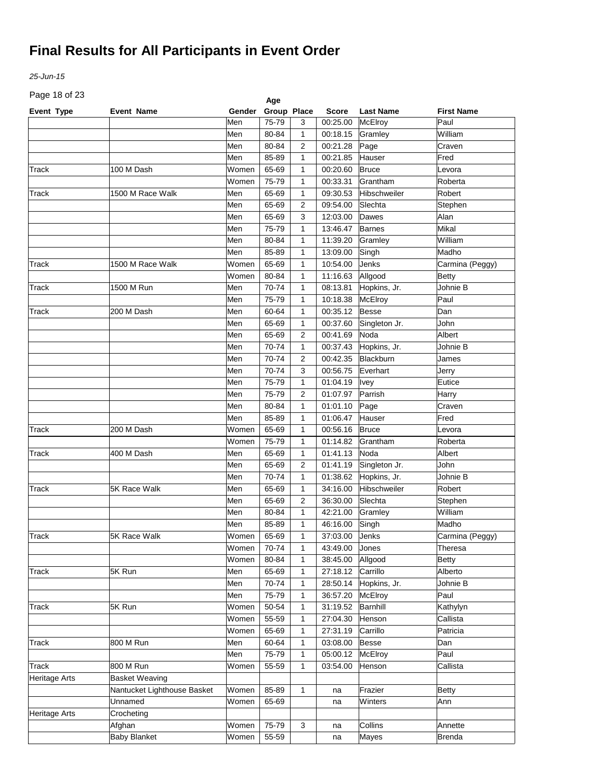*25-Jun-15*

Page 18 of 23

| Event Type<br>Group Place<br>Gender<br><b>Score</b><br><b>Last Name</b><br><b>Event Name</b> | <b>First Name</b> |
|----------------------------------------------------------------------------------------------|-------------------|
|                                                                                              |                   |
| 75-79<br>McElroy<br>Men<br>00:25.00<br>3                                                     | Paul              |
| Men<br>80-84<br>1<br>00:18.15<br>Gramley                                                     | William           |
| Men<br>80-84<br>$\overline{2}$<br>00:21.28<br>Page                                           | Craven            |
| Men<br>85-89<br>00:21.85<br>1<br>Hauser                                                      | Fred              |
| Women<br>65-69<br>Track<br>100 M Dash<br>1<br>00:20.60<br><b>Bruce</b>                       | Levora            |
| Women<br>75-79<br>1<br>00:33.31<br>Grantham                                                  | Roberta           |
| Men<br>Track<br>1500 M Race Walk<br>65-69<br>1<br>09:30.53<br>Hibschweiler                   | Robert            |
| Men<br>65-69<br>2<br>09:54.00<br>Slechta                                                     | Stephen           |
| Men<br>65-69<br>3<br>12:03.00<br>Dawes                                                       | Alan              |
| Men<br>75-79<br>1<br>13:46.47<br><b>Barnes</b>                                               | Mikal             |
| Men<br>80-84<br>1<br>11:39.20<br>Gramley                                                     | William           |
| Men<br>85-89<br>1<br>13:09.00<br>Singh                                                       | Madho             |
| Women<br>65-69<br>Jenks<br>1500 M Race Walk<br>1<br>10:54.00<br>Track                        | Carmina (Peggy)   |
| 80-84<br>Women<br>1<br>11:16.63<br>Allgood                                                   | <b>Betty</b>      |
| 1500 M Run<br>Men<br>70-74<br>Hopkins, Jr.<br>1<br>08:13.81<br>Track                         | Johnie B          |
| Men<br>75-79<br>1<br>10:18.38<br>McElroy                                                     | Paul              |
| 200 M Dash<br>Men<br>00:35.12<br><b>Besse</b><br>Track<br>60-64<br>1                         | Dan               |
| Men<br>65-69<br>$\mathbf{1}$<br>00:37.60<br>Singleton Jr.                                    | John              |
| Men<br>65-69<br>00:41.69<br>Noda<br>2                                                        | Albert            |
| Men<br>70-74<br>Hopkins, Jr.<br>$\mathbf{1}$<br>00:37.43                                     | Johnie B          |
| Men<br>70-74<br>00:42.35<br>Blackburn<br>2                                                   | James             |
| Men<br>70-74<br>3<br>00:56.75<br>Everhart                                                    | Jerry             |
| Men<br>75-79<br>$\mathbf{1}$<br>01:04.19<br>Ivey                                             | Eutice            |
| Men<br>75-79<br>$\overline{2}$<br>01:07.97<br>Parrish                                        | Harry             |
| Men<br>80-84<br>1<br>Page<br>01:01.10                                                        | Craven            |
| Men<br>85-89<br>1<br>01:06.47<br>Hauser                                                      | Fred              |
| Women<br>65-69<br>00:56.16<br><b>Bruce</b><br>Track<br>1                                     | Levora            |
| 200 M Dash<br>Women<br>75-79<br>01:14.82<br>1                                                | Roberta           |
| Grantham<br>Men<br>01:41.13<br>Noda                                                          | Albert            |
| Track<br>400 M Dash<br>65-69<br>$\mathbf{1}$                                                 |                   |
| Men<br>65-69<br>2<br>01:41.19<br>Singleton Jr.                                               | <b>John</b>       |
| Men<br>70-74<br>1<br>01:38.62<br>Hopkins, Jr.                                                | Johnie B          |
| 5K Race Walk<br>Men<br>34:16.00<br>Hibschweiler<br>Track<br>65-69<br>$\mathbf{1}$            | Robert            |
| Men<br>$\overline{2}$<br>Slechta<br>65-69<br>36:30.00                                        | Stephen           |
| Men<br>80-84<br>42:21.00<br>1<br>Gramley                                                     | William           |
| 85-89<br>Men<br>$\mathbf{1}$<br>46:16.00<br>Singh                                            | Madho             |
| Women<br>37:03.00<br>Jenks<br>Track<br>5K Race Walk<br>65-69<br>$\mathbf{1}$                 | Carmina (Peggy)   |
| Women<br>70-74<br>$\mathbf{1}$<br>43:49.00<br>Jones                                          | Theresa           |
| Women<br>80-84<br>38:45.00<br>1<br>Allgood                                                   | <b>Betty</b>      |
| <b>Track</b><br>5K Run<br>Men<br>65-69<br>1<br>27:18.12<br>Carrillo                          | Alberto           |
| Men<br>70-74<br>1<br>Hopkins, Jr.<br>28:50.14                                                | Johnie B          |
| Men<br>75-79<br>1<br>36:57.20<br>McElroy                                                     | Paul              |
| 5K Run<br>Women<br>50-54<br>31:19.52<br>Barnhill<br>Track<br>1                               | Kathylyn          |
| Women<br>55-59<br>1<br>27:04.30<br>Henson                                                    | Callista          |
| Women<br>65-69<br>1<br>27:31.19<br>Carrillo                                                  | Patricia          |
| Track<br>800 M Run<br>Men<br>60-64<br>1<br>03:08.00<br><b>Besse</b>                          | Dan               |
| Men<br>75-79<br>1<br>05:00.12<br>McElroy                                                     | Paul              |
| Track<br>800 M Run<br>Women<br>55-59<br>1<br>03:54.00<br>Henson                              | Callista          |
| <b>Basket Weaving</b><br>Heritage Arts                                                       |                   |
| Nantucket Lighthouse Basket<br>Women<br>85-89<br>1<br>Frazier<br>na                          | Betty             |
| Unnamed<br>Women<br>65-69<br>Winters<br>na                                                   | Ann               |
| Crocheting<br>Heritage Arts                                                                  |                   |
| Collins<br>Afghan<br>Women<br>3<br>75-79<br>na                                               | Annette           |
| <b>Baby Blanket</b><br>Women<br>55-59<br>Mayes<br>na                                         | <b>Brenda</b>     |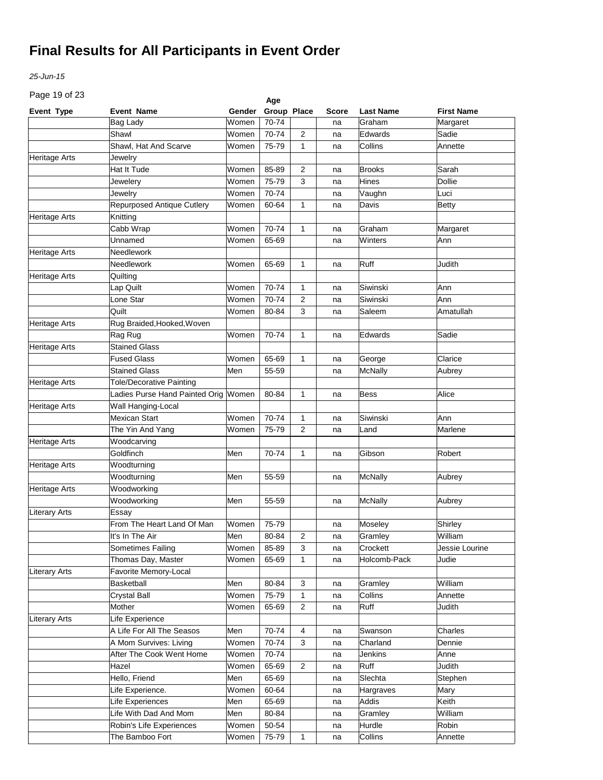*25-Jun-15*

Page 19 of 23

| Page 19 of 23<br>Age |                                      |        |             |                |       |                  |                   |  |
|----------------------|--------------------------------------|--------|-------------|----------------|-------|------------------|-------------------|--|
| <b>Event Type</b>    | Event Name                           | Gender | Group Place |                | Score | <b>Last Name</b> | <b>First Name</b> |  |
|                      | <b>Bag Lady</b>                      | Women  | 70-74       |                | na    | Graham           | Margaret          |  |
|                      | Shawl                                | Women  | 70-74       | 2              | na    | Edwards          | Sadie             |  |
|                      | Shawl, Hat And Scarve                | Women  | 75-79       | 1              | na    | Collins          | Annette           |  |
| Heritage Arts        | Jewelry                              |        |             |                |       |                  |                   |  |
|                      | Hat It Tude                          | Women  | 85-89       | 2              | na    | <b>Brooks</b>    | Sarah             |  |
|                      | Jewelery                             | Women  | 75-79       | 3              | na    | Hines            | <b>Dollie</b>     |  |
|                      | Jewelry                              | Women  | 70-74       |                | na    | Vaughn           | Luci              |  |
|                      | Repurposed Antique Cutlery           | Women  | 60-64       | 1              | na    | Davis            | <b>Betty</b>      |  |
| Heritage Arts        | Knitting                             |        |             |                |       |                  |                   |  |
|                      | Cabb Wrap                            | Women  | 70-74       | 1              | na    | Graham           | Margaret          |  |
|                      | Unnamed                              | Women  | 65-69       |                | na    | Winters          | Ann               |  |
| Heritage Arts        | Needlework                           |        |             |                |       |                  |                   |  |
|                      | Needlework                           | Women  | 65-69       | 1              | na    | Ruff             | Judith            |  |
| Heritage Arts        | Quilting                             |        |             |                |       |                  |                   |  |
|                      | Lap Quilt                            | Women  | 70-74       | 1              | na    | Siwinski         | Ann               |  |
|                      | Lone Star                            | Women  | 70-74       | 2              | na    | Siwinski         | Ann               |  |
|                      | Quilt                                | Women  | 80-84       | 3              | na    | Saleem           | Amatullah         |  |
| Heritage Arts        | Rug Braided, Hooked, Woven           |        |             |                |       |                  |                   |  |
|                      | Rag Rug                              | Women  | 70-74       | $\mathbf{1}$   | na    | Edwards          | Sadie             |  |
| Heritage Arts        | <b>Stained Glass</b>                 |        |             |                |       |                  |                   |  |
|                      | <b>Fused Glass</b>                   | Women  | 65-69       | 1              | na    | George           | Clarice           |  |
|                      | <b>Stained Glass</b>                 | Men    | 55-59       |                | na    | <b>McNally</b>   | Aubrey            |  |
| Heritage Arts        | <b>Tole/Decorative Painting</b>      |        |             |                |       |                  |                   |  |
|                      | Ladies Purse Hand Painted Orig Women |        | 80-84       | 1              | na    | Bess             | Alice             |  |
| <b>Heritage Arts</b> | Wall Hanging-Local                   |        |             |                |       |                  |                   |  |
|                      | <b>Mexican Start</b>                 | Women  | 70-74       | 1              | na    | Siwinski         | Ann               |  |
|                      | The Yin And Yang                     | Women  | 75-79       | 2              | na    | Land             | Marlene           |  |
| Heritage Arts        | Woodcarving                          |        |             |                |       |                  |                   |  |
|                      | Goldfinch                            | Men    | 70-74       | 1              | na    | Gibson           | Robert            |  |
| Heritage Arts        | Woodturning                          |        |             |                |       |                  |                   |  |
|                      | Woodturning                          | Men    | 55-59       |                | na    | <b>McNally</b>   | Aubrey            |  |
| <b>Heritage Arts</b> | Woodworking                          |        |             |                |       |                  |                   |  |
|                      | Woodworking                          | Men    | 55-59       |                | na    | McNally          | Aubrey            |  |
| <b>Literary Arts</b> | Essay                                |        |             |                |       |                  |                   |  |
|                      | From The Heart Land Of Man           | Women  | 75-79       |                | na    | Moseley          | Shirley           |  |
|                      | It's In The Air                      | Men    | 80-84       | $\overline{c}$ | na    | Gramley          | William           |  |
|                      | Sometimes Failing                    | Women  | 85-89       | 3              | na    | Crockett         | Jessie Lourine    |  |
|                      | Thomas Day, Master                   | Women  | 65-69       | 1              | na    | Holcomb-Pack     | Judie             |  |
| <b>Literary Arts</b> | Favorite Memory-Local                |        |             |                |       |                  |                   |  |
|                      | Basketball                           | Men    | 80-84       | 3              | na    | Gramley          | William           |  |
|                      | Crystal Ball                         | Women  | 75-79       | 1              | na    | Collins          | Annette           |  |
|                      | Mother                               | Women  | 65-69       | 2              | na    | Ruff             | Judith            |  |
| <b>Literary Arts</b> | Life Experience                      |        |             |                |       |                  |                   |  |
|                      | A Life For All The Seasos            | Men    | 70-74       | 4              | na    | Swanson          | Charles           |  |
|                      | A Mom Survives: Living               | Women  | 70-74       | 3              | na    | Charland         | Dennie            |  |
|                      | After The Cook Went Home             | Women  | 70-74       |                | na    | Jenkins          | Anne              |  |
|                      | Hazel                                | Women  | 65-69       | $\overline{c}$ | na    | Ruff             | Judith            |  |
|                      | Hello, Friend                        | Men    | 65-69       |                | na    | Slechta          | Stephen           |  |
|                      | Life Experience.                     | Women  | 60-64       |                | na    | Hargraves        | Mary              |  |
|                      | Life Experiences                     | Men    | 65-69       |                | na    | Addis            | Keith             |  |
|                      | Life With Dad And Mom                | Men    | 80-84       |                | na    | Gramley          | William           |  |
|                      | Robin's Life Experiences             | Women  | 50-54       |                | na    | Hurdle           | Robin             |  |
|                      | The Bamboo Fort                      | Women  | 75-79       | 1              | na    | Collins          | Annette           |  |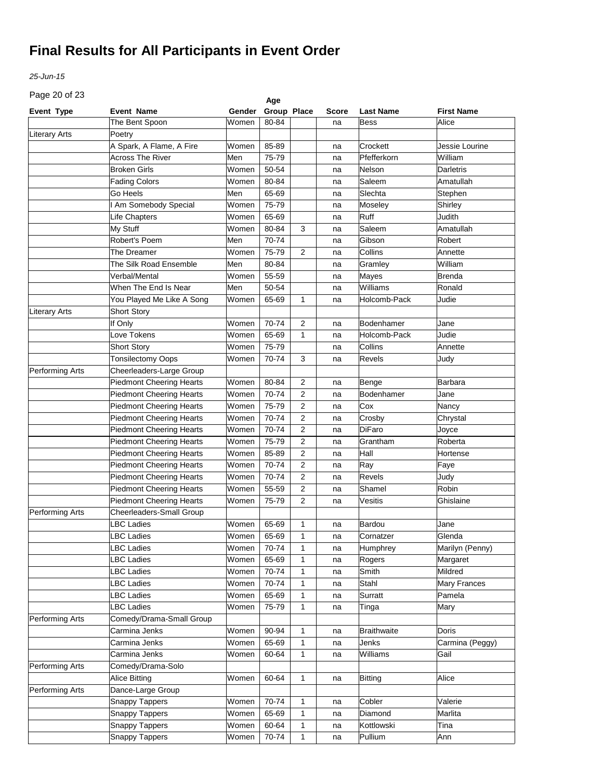*25-Jun-15*

Page 20 of 23

| Page 20 or 23        |                                 |        | Age         |              |              |                    |                   |
|----------------------|---------------------------------|--------|-------------|--------------|--------------|--------------------|-------------------|
| <b>Event Type</b>    | <b>Event Name</b>               | Gender | Group Place |              | <b>Score</b> | <b>Last Name</b>   | <b>First Name</b> |
|                      | The Bent Spoon                  | Women  | 80-84       |              | na           | Bess               | Alice             |
| <b>Literary Arts</b> | Poetry                          |        |             |              |              |                    |                   |
|                      | A Spark, A Flame, A Fire        | Women  | 85-89       |              | na           | Crockett           | Jessie Lourine    |
|                      | <b>Across The River</b>         | Men    | 75-79       |              | na           | Pfefferkorn        | William           |
|                      | <b>Broken Girls</b>             | Women  | 50-54       |              | na           | Nelson             | Darletris         |
|                      | <b>Fading Colors</b>            | Women  | 80-84       |              | na           | Saleem             | Amatullah         |
|                      | Go Heels                        | Men    | 65-69       |              | na           | Slechta            | Stephen           |
|                      | Am Somebody Special             | Women  | 75-79       |              | na           | Moseley            | Shirley           |
|                      | Life Chapters                   | Women  | 65-69       |              | na           | Ruff               | Judith            |
|                      | My Stuff                        | Women  | 80-84       | 3            | na           | Saleem             | Amatullah         |
|                      | Robert's Poem                   | Men    | 70-74       |              | na           | Gibson             | Robert            |
|                      | The Dreamer                     | Women  | 75-79       | 2            | na           | Collins            | Annette           |
|                      | The Silk Road Ensemble          | Men    | 80-84       |              | na           | Gramley            | William           |
|                      | Verbal/Mental                   | Women  | 55-59       |              | na           | Mayes              | Brenda            |
|                      | When The End Is Near            | Men    | 50-54       |              | na           | Williams           | Ronald            |
|                      | You Played Me Like A Song       | Women  | 65-69       | 1            | na           | Holcomb-Pack       | Judie             |
| <b>Literary Arts</b> | Short Story                     |        |             |              |              |                    |                   |
|                      | If Only                         | Women  | 70-74       | 2            | na           | Bodenhamer         | Jane              |
|                      | Love Tokens                     | Women  | 65-69       | 1            | na           | Holcomb-Pack       | Judie             |
|                      | <b>Short Story</b>              | Women  | 75-79       |              | na           | Collins            | Annette           |
|                      | <b>Tonsilectomy Oops</b>        | Women  | 70-74       | 3            | na           | Revels             | Judy              |
| Performing Arts      | Cheerleaders-Large Group        |        |             |              |              |                    |                   |
|                      | <b>Piedmont Cheering Hearts</b> | Women  | 80-84       | 2            | na           | Benge              | <b>Barbara</b>    |
|                      | <b>Piedmont Cheering Hearts</b> | Women  | 70-74       | 2            | na           | Bodenhamer         | Jane              |
|                      | <b>Piedmont Cheering Hearts</b> | Women  | 75-79       | 2            | na           | Cox                | Nancy             |
|                      | <b>Piedmont Cheering Hearts</b> | Women  | 70-74       | 2            | na           | Crosby             | Chrystal          |
|                      | <b>Piedmont Cheering Hearts</b> | Women  | 70-74       | 2            | na           | <b>DiFaro</b>      | Joyce             |
|                      | <b>Piedmont Cheering Hearts</b> | Women  | 75-79       | 2            | na           | Grantham           | Roberta           |
|                      | <b>Piedmont Cheering Hearts</b> | Women  | 85-89       | 2            | na           | Hall               | Hortense          |
|                      | <b>Piedmont Cheering Hearts</b> | Women  | 70-74       | 2            | na           | Ray                | Faye              |
|                      | <b>Piedmont Cheering Hearts</b> | Women  | 70-74       | 2            | na           | Revels             | Judy              |
|                      | <b>Piedmont Cheering Hearts</b> | Women  | 55-59       | 2            | na           | Shamel             | Robin             |
|                      | <b>Piedmont Cheering Hearts</b> | Women  | 75-79       | 2            | na           | Vesitis            | Ghislaine         |
| Performing Arts      | Cheerleaders-Small Group        |        |             |              |              |                    |                   |
|                      | <b>BC Ladies</b>                | Women  | 65-69       | $\mathbf{1}$ | na           | Bardou             | Jane              |
|                      | LBC Ladies                      | Women  | 65-69       | $\mathbf{1}$ | na           | Cornatzer          | Glenda            |
|                      | ∟BC Ladies                      | Women  | 70-74       | $\mathbf{1}$ | na           | Humphrey           | Marilyn (Penny)   |
|                      | <b>BC Ladies</b>                | Women  | 65-69       | $\mathbf{1}$ | na           | Rogers             | Margaret          |
|                      | LBC Ladies                      | Women  | 70-74       | $\mathbf{1}$ | na           | Smith              | Mildred           |
|                      | LBC Ladies                      | Women  | 70-74       | $\mathbf{1}$ | na           | Stahl              | Mary Frances      |
|                      | LBC Ladies                      | Women  | 65-69       | 1            | na           | Surratt            | Pamela            |
|                      | LBC Ladies                      | Women  | 75-79       | 1            | na           | Tinga              | Mary              |
| Performing Arts      | Comedy/Drama-Small Group        |        |             |              |              |                    |                   |
|                      | Carmina Jenks                   | Women  | 90-94       | 1            | na           | <b>Braithwaite</b> | Doris             |
|                      | Carmina Jenks                   | Women  | 65-69       | 1            | na           | Jenks              | Carmina (Peggy)   |
|                      | Carmina Jenks                   | Women  | 60-64       | 1            | na           | Williams           | Gail              |
| Performing Arts      | Comedy/Drama-Solo               |        |             |              |              |                    |                   |
|                      | <b>Alice Bitting</b>            | Women  | 60-64       | 1            | na           | <b>Bitting</b>     | Alice             |
| Performing Arts      | Dance-Large Group               |        |             |              |              |                    |                   |
|                      | Snappy Tappers                  | Women  | 70-74       | 1            | na           | Cobler             | Valerie           |
|                      | Snappy Tappers                  | Women  | 65-69       | $\mathbf{1}$ | na           | Diamond            | Marlita           |
|                      | Snappy Tappers                  | Women  | 60-64       | 1            | na           | Kottlowski         | Tina              |
|                      | Snappy Tappers                  | Women  | 70-74       | 1            | na           | Pullium            | Ann               |
|                      |                                 |        |             |              |              |                    |                   |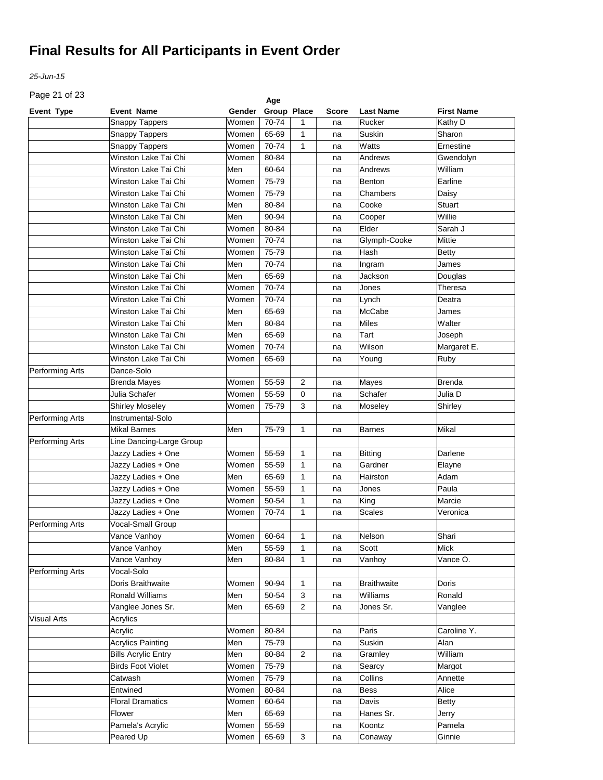*25-Jun-15*

Page 21 of 23

| Page 21 or 23      |                            |             | Age         |                |              |                    |                   |
|--------------------|----------------------------|-------------|-------------|----------------|--------------|--------------------|-------------------|
| <b>Event Type</b>  | <b>Event Name</b>          | Gender      | Group Place |                | <b>Score</b> | <b>Last Name</b>   | <b>First Name</b> |
|                    | <b>Snappy Tappers</b>      | Women       | 70-74       | 1              | na           | Rucker             | Kathy D           |
|                    | <b>Snappy Tappers</b>      | Women       | 65-69       | 1              | na           | Suskin             | Sharon            |
|                    | <b>Snappy Tappers</b>      | Women       | 70-74       | 1              | na           | Watts              | Ernestine         |
|                    | Winston Lake Tai Chi       | Women       | 80-84       |                | na           | Andrews            | Gwendolyn         |
|                    | Winston Lake Tai Chi       | Men         | 60-64       |                | na           | Andrews            | William           |
|                    | Winston Lake Tai Chi       | Women       | 75-79       |                | na           | <b>Benton</b>      | Earline           |
|                    | Winston Lake Tai Chi       | Women       | 75-79       |                | na           | Chambers           | Daisy             |
|                    | Winston Lake Tai Chi       | Men         | 80-84       |                | na           | Cooke              | Stuart            |
|                    | Winston Lake Tai Chi       | Men         | 90-94       |                | na           | Cooper             | Willie            |
|                    | Winston Lake Tai Chi       | Women       | 80-84       |                | na           | Elder              | Sarah J           |
|                    | Winston Lake Tai Chi       | Women       | 70-74       |                | na           | Glymph-Cooke       | Mittie            |
|                    | Winston Lake Tai Chi       | Women       | 75-79       |                | na           | Hash               | Betty             |
|                    | Winston Lake Tai Chi       | Men         | 70-74       |                | na           | Ingram             | James             |
|                    | Winston Lake Tai Chi       | Men         | 65-69       |                | na           | Jackson            | Douglas           |
|                    | Winston Lake Tai Chi       | Women       | 70-74       |                | na           | Jones              | Theresa           |
|                    | Winston Lake Tai Chi       | Women       | 70-74       |                | na           | Lynch              | Deatra            |
|                    | Winston Lake Tai Chi       | Men         | 65-69       |                | na           | <b>McCabe</b>      | James             |
|                    | Winston Lake Tai Chi       | Men         | 80-84       |                | na           | Miles              | Walter            |
|                    | Winston Lake Tai Chi       | Men         | 65-69       |                | na           | Tart               | Joseph            |
|                    | Winston Lake Tai Chi       | Women       | 70-74       |                | na           | Wilson             | Margaret E.       |
|                    | Winston Lake Tai Chi       | Women       | 65-69       |                | na           | Young              | Ruby              |
| Performing Arts    | Dance-Solo                 |             |             |                |              |                    |                   |
|                    | <b>Brenda Mayes</b>        | Women       | 55-59       | $\overline{2}$ | na           | Mayes              | <b>Brenda</b>     |
|                    | Julia Schafer              | Women       | 55-59       | 0              | na           | Schafer            | Julia D           |
|                    | <b>Shirley Moseley</b>     | Women       | 75-79       | 3              | na           | Moseley            | Shirley           |
| Performing Arts    | Instrumental-Solo          |             |             |                |              |                    |                   |
|                    | Mikal Barnes               | Men         | 75-79       | 1              | na           | <b>Barnes</b>      | Mikal             |
| Performing Arts    | Line Dancing-Large Group   |             |             |                |              |                    |                   |
|                    | Jazzy Ladies + One         | Women       | 55-59       | 1              | na           | <b>Bitting</b>     | Darlene           |
|                    | Jazzy Ladies + One         | Women       | 55-59       | 1              | na           | Gardner            | Elayne            |
|                    | Jazzy Ladies + One         | Men         | 65-69       | 1              | na           | Hairston           | Adam              |
|                    | Jazzy Ladies + One         | Women       | 55-59       | 1              | na           | Jones              | Paula             |
|                    | Jazzy Ladies + One         | Women       | 50-54       | 1              | na           | King               | Marcie            |
|                    | Jazzy Ladies + One         | Women       | 70-74       | 1              | na           | <b>Scales</b>      | Veronica          |
| Performing Arts    | Vocal-Small Group          |             |             |                |              |                    |                   |
|                    | Vance Vanhoy               | Women 60-64 |             |                |              | Nelson             | Shari             |
|                    |                            |             |             | $\mathbf{1}$   | na           | Scott              |                   |
|                    | Vance Vanhoy               | Men<br>Men  | 55-59       | 1              | na           |                    | Mick<br>Vance O.  |
|                    | Vance Vanhoy<br>Vocal-Solo |             | 80-84       | 1              | na           | Vanhoy             |                   |
| Performing Arts    | Doris Braithwaite          |             | 90-94       |                |              |                    | <b>Doris</b>      |
|                    |                            | Women       |             | 1              | na           | <b>Braithwaite</b> |                   |
|                    | Ronald Williams            | Men         | 50-54       | 3              | na           | Williams           | Ronald            |
|                    | Vanglee Jones Sr.          | Men         | 65-69       | $\overline{c}$ | na           | Jones Sr.          | Vanglee           |
| <b>Visual Arts</b> | Acrylics                   |             |             |                |              |                    |                   |
|                    | Acrylic                    | Women       | 80-84       |                | na           | Paris              | Caroline Y.       |
|                    | <b>Acrylics Painting</b>   | Men         | 75-79       |                | na           | Suskin             | Alan              |
|                    | <b>Bills Acrylic Entry</b> | Men         | 80-84       | $\overline{c}$ | na           | Gramley            | William           |
|                    | <b>Birds Foot Violet</b>   | Women       | 75-79       |                | na           | Searcy             | Margot            |
|                    | Catwash                    | Women       | 75-79       |                | na           | Collins            | Annette           |
|                    | Entwined                   | Women       | 80-84       |                | na           | <b>Bess</b>        | Alice             |
|                    | <b>Floral Dramatics</b>    | Women       | 60-64       |                | na           | Davis              | <b>Betty</b>      |
|                    | Flower                     | Men         | 65-69       |                | na           | Hanes Sr.          | Jerry             |
|                    | Pamela's Acrylic           | Women       | 55-59       |                | na           | Koontz             | Pamela            |
|                    | Peared Up                  | Women       | 65-69       | 3              | na           | Conaway            | Ginnie            |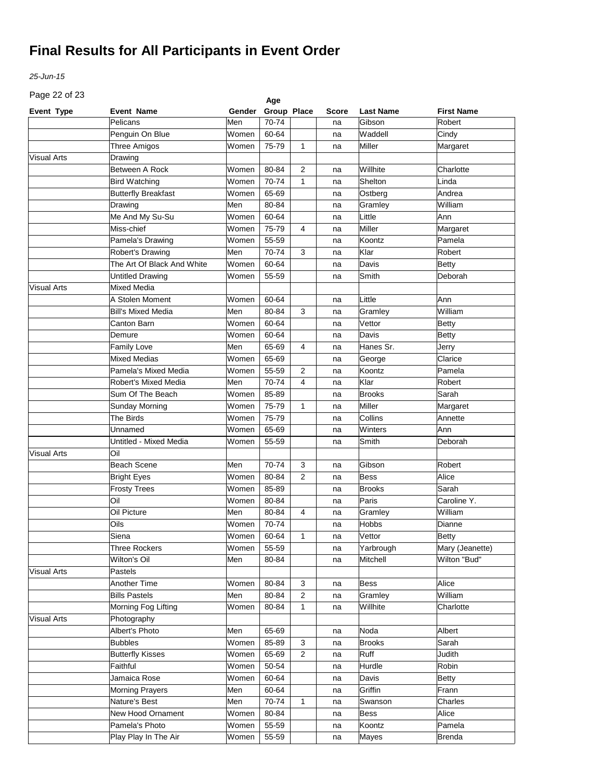*25-Jun-15*

Page 22 of 23

| Page 22 or 23      |                            |        | Age         |                |              |                  |                   |
|--------------------|----------------------------|--------|-------------|----------------|--------------|------------------|-------------------|
| <b>Event Type</b>  | <b>Event Name</b>          | Gender | Group Place |                | <b>Score</b> | <b>Last Name</b> | <b>First Name</b> |
|                    | Pelicans                   | Men    | 70-74       |                | na           | Gibson           | Robert            |
|                    | Penguin On Blue            | Women  | 60-64       |                | na           | Waddell          | Cindy             |
|                    | <b>Three Amigos</b>        | Women  | 75-79       | 1              | na           | Miller           | Margaret          |
| <b>Visual Arts</b> | Drawing                    |        |             |                |              |                  |                   |
|                    | Between A Rock             | Women  | 80-84       | 2              | na           | Willhite         | Charlotte         |
|                    | <b>Bird Watching</b>       | Women  | 70-74       | 1              | na           | Shelton          | Linda             |
|                    | <b>Butterfly Breakfast</b> | Women  | 65-69       |                | na           | Ostberg          | Andrea            |
|                    | Drawing                    | Men    | 80-84       |                | na           | Gramley          | William           |
|                    | Me And My Su-Su            | Women  | 60-64       |                | na           | Little           | Ann               |
|                    | Miss-chief                 | Women  | 75-79       | 4              | na           | Miller           | Margaret          |
|                    | Pamela's Drawing           | Women  | 55-59       |                | na           | Koontz           | Pamela            |
|                    | Robert's Drawing           | Men    | 70-74       | 3              | na           | Klar             | Robert            |
|                    | The Art Of Black And White | Women  | 60-64       |                | na           | Davis            | <b>Betty</b>      |
|                    | <b>Untitled Drawing</b>    | Women  | 55-59       |                | na           | Smith            | Deborah           |
| <b>Visual Arts</b> | <b>Mixed Media</b>         |        |             |                |              |                  |                   |
|                    | A Stolen Moment            | Women  | 60-64       |                | na           | Little           | Ann               |
|                    | <b>Bill's Mixed Media</b>  | Men    | 80-84       | 3              | na           | Gramley          | William           |
|                    | Canton Barn                | Women  | 60-64       |                | na           | Vettor           | <b>Betty</b>      |
|                    | Demure                     | Women  | 60-64       |                | na           | Davis            | <b>Betty</b>      |
|                    | Family Love                | Men    | 65-69       | 4              | na           | Hanes Sr.        | Jerry             |
|                    | <b>Mixed Medias</b>        | Women  | 65-69       |                | na           | George           | Clarice           |
|                    | Pamela's Mixed Media       | Women  | 55-59       | $\overline{2}$ | na           | Koontz           | Pamela            |
|                    | Robert's Mixed Media       | Men    | 70-74       | 4              | na           | Klar             | Robert            |
|                    | Sum Of The Beach           | Women  | 85-89       |                | na           | <b>Brooks</b>    | Sarah             |
|                    | Sunday Morning             | Women  | 75-79       | $\mathbf{1}$   | na           | Miller           | Margaret          |
|                    | The Birds                  | Women  | 75-79       |                | na           | Collins          | Annette           |
|                    | Unnamed                    | Women  | 65-69       |                | na           | Winters          | Ann               |
|                    | Untitled - Mixed Media     | Women  | 55-59       |                | na           | Smith            | Deborah           |
| <b>Visual Arts</b> | Oil                        |        |             |                |              |                  |                   |
|                    | <b>Beach Scene</b>         | Men    | 70-74       | 3              | na           | Gibson           | Robert            |
|                    | <b>Bright Eyes</b>         | Women  | 80-84       | 2              | na           | <b>Bess</b>      | Alice             |
|                    | <b>Frosty Trees</b>        | Women  | 85-89       |                | na           | <b>Brooks</b>    | Sarah             |
|                    | Oil                        | Women  | 80-84       |                | na           | Paris            | Caroline Y.       |
|                    | Oil Picture                | Men    | 80-84       | 4              | na           | Gramley          | William           |
|                    | Oils                       | Women  | 70-74       |                | na           | <b>Hobbs</b>     | Dianne            |
|                    | Siena                      | Women  | $60 - 64$   | $\mathbf{1}$   | na           | Vettor           | <b>Betty</b>      |
|                    | <b>Three Rockers</b>       | Women  | 55-59       |                | na           | Yarbrough        | Mary (Jeanette)   |
|                    | Wilton's Oil               | Men    | 80-84       |                | na           | Mitchell         | Wilton "Bud"      |
| <b>Visual Arts</b> | Pastels                    |        |             |                |              |                  |                   |
|                    | Another Time               | Women  | 80-84       | 3              | na           | Bess             | Alice             |
|                    | <b>Bills Pastels</b>       | Men    | 80-84       | $\overline{c}$ | na           | Gramley          | William           |
|                    | Morning Fog Lifting        | Women  | 80-84       | 1              | na           | Willhite         | Charlotte         |
| <b>Visual Arts</b> | Photography                |        |             |                |              |                  |                   |
|                    | Albert's Photo             | Men    | 65-69       |                | na           | Noda             | Albert            |
|                    | <b>Bubbles</b>             | Women  | 85-89       | 3              | na           | <b>Brooks</b>    | Sarah             |
|                    | <b>Butterfly Kisses</b>    | Women  | 65-69       | $\overline{2}$ | na           | Ruff             | Judith            |
|                    | Faithful                   | Women  | 50-54       |                | na           | Hurdle           | Robin             |
|                    | Jamaica Rose               | Women  | 60-64       |                | na           | Davis            | Betty             |
|                    | <b>Morning Prayers</b>     | Men    | 60-64       |                | na           | Griffin          | Frann             |
|                    | Nature's Best              | Men    | 70-74       | $\mathbf{1}$   | na           | Swanson          | Charles           |
|                    | New Hood Ornament          | Women  | 80-84       |                | na           | <b>Bess</b>      | Alice             |
|                    | Pamela's Photo             | Women  | 55-59       |                | na           | Koontz           | Pamela            |
|                    | Play Play In The Air       | Women  | 55-59       |                | na           | Mayes            | Brenda            |
|                    |                            |        |             |                |              |                  |                   |